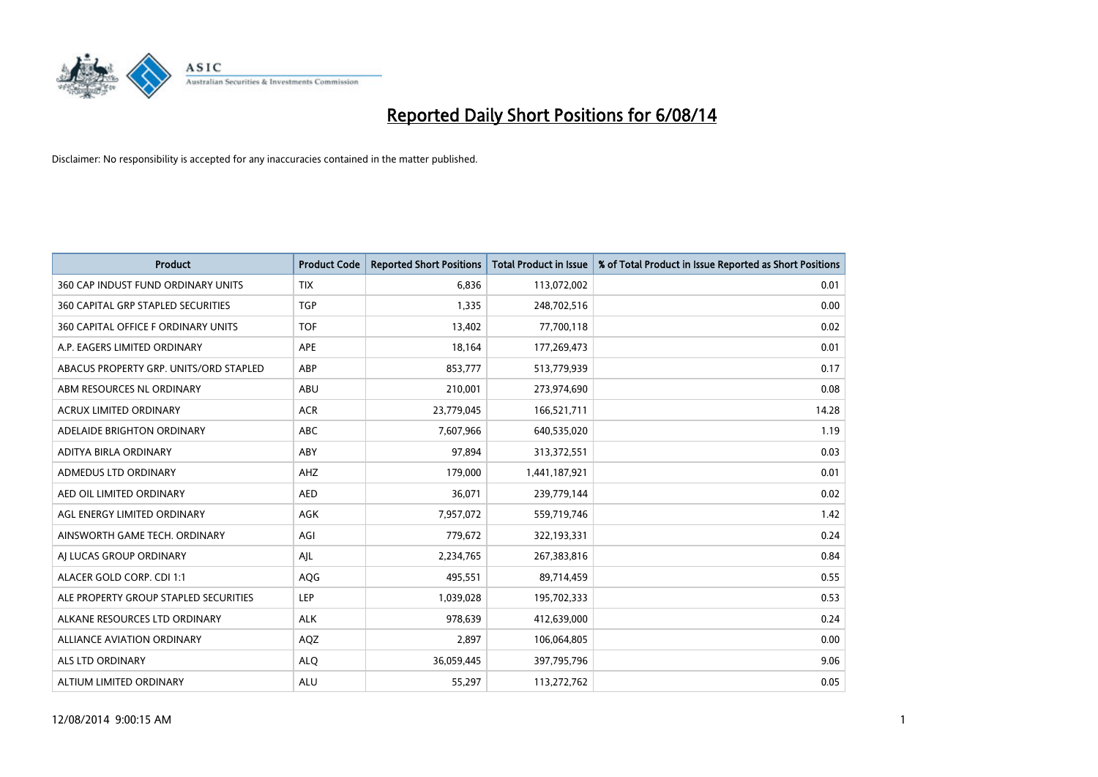

| <b>Product</b>                         | <b>Product Code</b> | <b>Reported Short Positions</b> | <b>Total Product in Issue</b> | % of Total Product in Issue Reported as Short Positions |
|----------------------------------------|---------------------|---------------------------------|-------------------------------|---------------------------------------------------------|
| 360 CAP INDUST FUND ORDINARY UNITS     | <b>TIX</b>          | 6,836                           | 113,072,002                   | 0.01                                                    |
| 360 CAPITAL GRP STAPLED SECURITIES     | <b>TGP</b>          | 1,335                           | 248,702,516                   | 0.00                                                    |
| 360 CAPITAL OFFICE F ORDINARY UNITS    | <b>TOF</b>          | 13,402                          | 77,700,118                    | 0.02                                                    |
| A.P. EAGERS LIMITED ORDINARY           | APE                 | 18,164                          | 177,269,473                   | 0.01                                                    |
| ABACUS PROPERTY GRP. UNITS/ORD STAPLED | ABP                 | 853,777                         | 513,779,939                   | 0.17                                                    |
| ABM RESOURCES NL ORDINARY              | ABU                 | 210,001                         | 273,974,690                   | 0.08                                                    |
| <b>ACRUX LIMITED ORDINARY</b>          | <b>ACR</b>          | 23,779,045                      | 166,521,711                   | 14.28                                                   |
| ADELAIDE BRIGHTON ORDINARY             | <b>ABC</b>          | 7,607,966                       | 640,535,020                   | 1.19                                                    |
| ADITYA BIRLA ORDINARY                  | ABY                 | 97.894                          | 313,372,551                   | 0.03                                                    |
| ADMEDUS LTD ORDINARY                   | AHZ                 | 179,000                         | 1,441,187,921                 | 0.01                                                    |
| AED OIL LIMITED ORDINARY               | <b>AED</b>          | 36,071                          | 239,779,144                   | 0.02                                                    |
| AGL ENERGY LIMITED ORDINARY            | AGK                 | 7,957,072                       | 559,719,746                   | 1.42                                                    |
| AINSWORTH GAME TECH. ORDINARY          | AGI                 | 779,672                         | 322,193,331                   | 0.24                                                    |
| AI LUCAS GROUP ORDINARY                | AJL                 | 2,234,765                       | 267,383,816                   | 0.84                                                    |
| ALACER GOLD CORP. CDI 1:1              | AQG                 | 495,551                         | 89,714,459                    | 0.55                                                    |
| ALE PROPERTY GROUP STAPLED SECURITIES  | LEP                 | 1,039,028                       | 195,702,333                   | 0.53                                                    |
| ALKANE RESOURCES LTD ORDINARY          | <b>ALK</b>          | 978,639                         | 412,639,000                   | 0.24                                                    |
| <b>ALLIANCE AVIATION ORDINARY</b>      | AQZ                 | 2,897                           | 106,064,805                   | 0.00                                                    |
| ALS LTD ORDINARY                       | <b>ALO</b>          | 36,059,445                      | 397,795,796                   | 9.06                                                    |
| ALTIUM LIMITED ORDINARY                | <b>ALU</b>          | 55,297                          | 113,272,762                   | 0.05                                                    |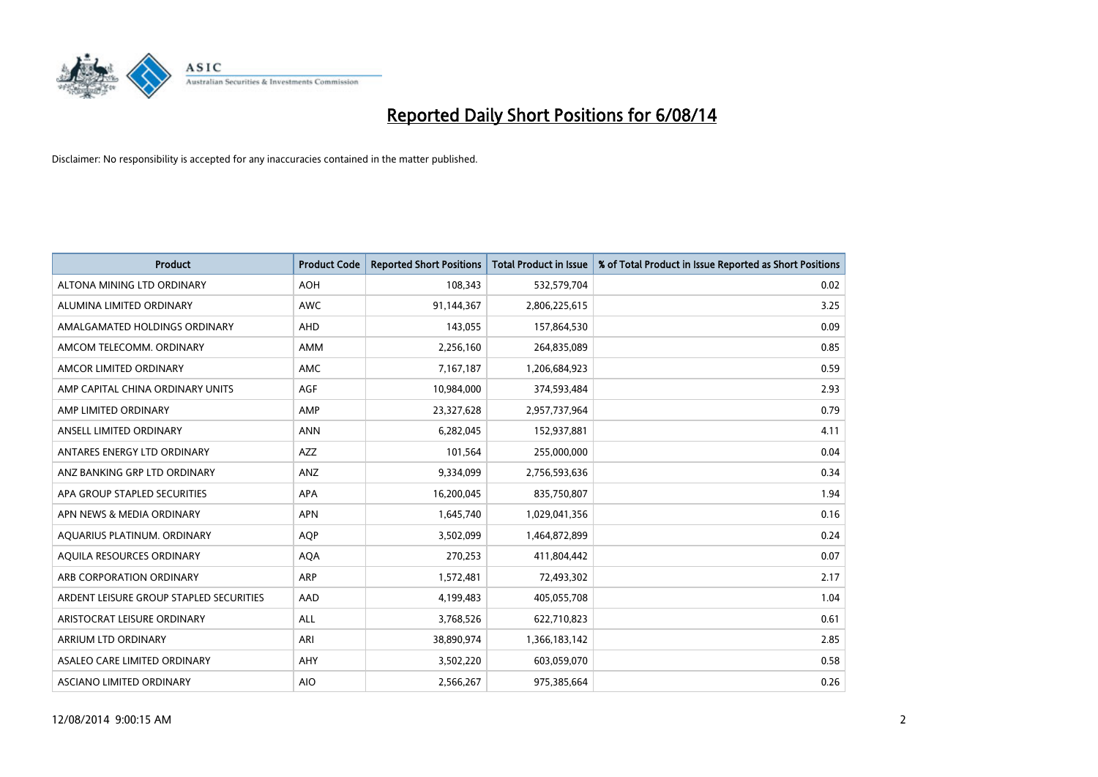

| <b>Product</b>                          | <b>Product Code</b> | <b>Reported Short Positions</b> | <b>Total Product in Issue</b> | % of Total Product in Issue Reported as Short Positions |
|-----------------------------------------|---------------------|---------------------------------|-------------------------------|---------------------------------------------------------|
| ALTONA MINING LTD ORDINARY              | <b>AOH</b>          | 108,343                         | 532,579,704                   | 0.02                                                    |
| ALUMINA LIMITED ORDINARY                | AWC                 | 91,144,367                      | 2,806,225,615                 | 3.25                                                    |
| AMALGAMATED HOLDINGS ORDINARY           | AHD                 | 143,055                         | 157,864,530                   | 0.09                                                    |
| AMCOM TELECOMM. ORDINARY                | AMM                 | 2,256,160                       | 264,835,089                   | 0.85                                                    |
| AMCOR LIMITED ORDINARY                  | AMC                 | 7,167,187                       | 1,206,684,923                 | 0.59                                                    |
| AMP CAPITAL CHINA ORDINARY UNITS        | <b>AGF</b>          | 10,984,000                      | 374,593,484                   | 2.93                                                    |
| AMP LIMITED ORDINARY                    | AMP                 | 23,327,628                      | 2,957,737,964                 | 0.79                                                    |
| ANSELL LIMITED ORDINARY                 | <b>ANN</b>          | 6,282,045                       | 152,937,881                   | 4.11                                                    |
| ANTARES ENERGY LTD ORDINARY             | <b>AZZ</b>          | 101,564                         | 255,000,000                   | 0.04                                                    |
| ANZ BANKING GRP LTD ORDINARY            | ANZ                 | 9,334,099                       | 2,756,593,636                 | 0.34                                                    |
| APA GROUP STAPLED SECURITIES            | APA                 | 16,200,045                      | 835,750,807                   | 1.94                                                    |
| APN NEWS & MEDIA ORDINARY               | <b>APN</b>          | 1,645,740                       | 1,029,041,356                 | 0.16                                                    |
| AQUARIUS PLATINUM. ORDINARY             | <b>AOP</b>          | 3,502,099                       | 1,464,872,899                 | 0.24                                                    |
| AQUILA RESOURCES ORDINARY               | <b>AQA</b>          | 270,253                         | 411,804,442                   | 0.07                                                    |
| ARB CORPORATION ORDINARY                | ARP                 | 1,572,481                       | 72,493,302                    | 2.17                                                    |
| ARDENT LEISURE GROUP STAPLED SECURITIES | AAD                 | 4,199,483                       | 405,055,708                   | 1.04                                                    |
| ARISTOCRAT LEISURE ORDINARY             | ALL                 | 3,768,526                       | 622,710,823                   | 0.61                                                    |
| ARRIUM LTD ORDINARY                     | ARI                 | 38,890,974                      | 1,366,183,142                 | 2.85                                                    |
| ASALEO CARE LIMITED ORDINARY            | AHY                 | 3,502,220                       | 603,059,070                   | 0.58                                                    |
| ASCIANO LIMITED ORDINARY                | <b>AIO</b>          | 2,566,267                       | 975,385,664                   | 0.26                                                    |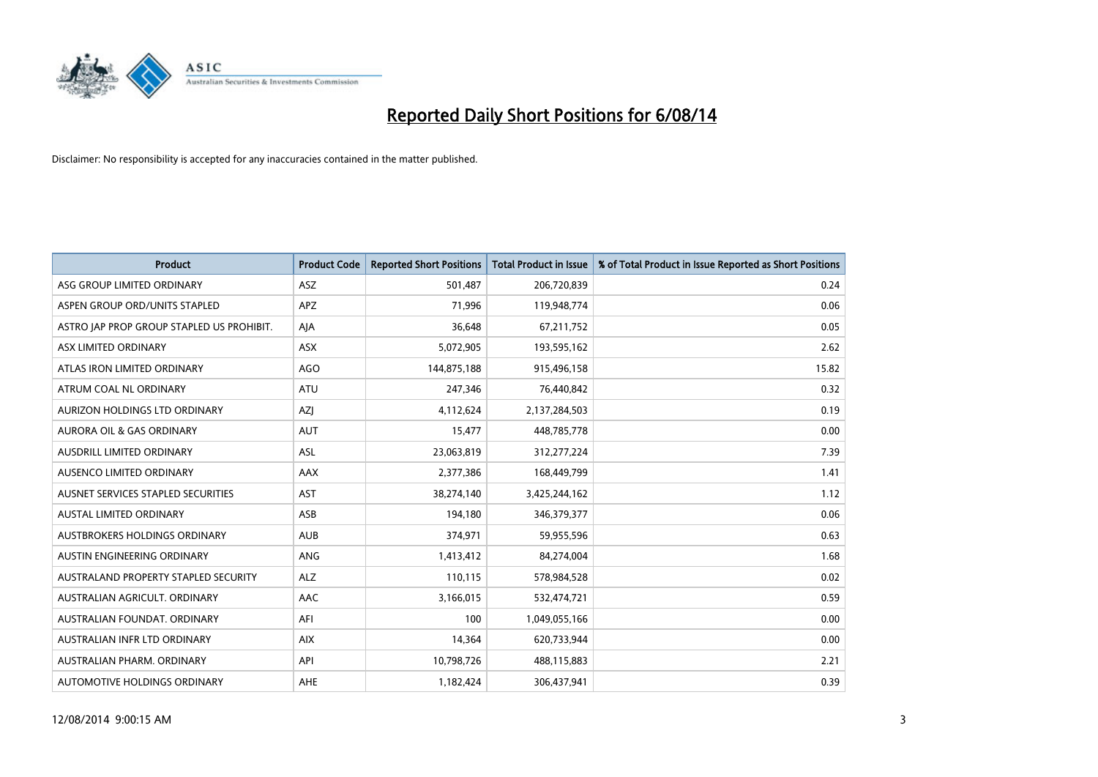

| <b>Product</b>                            | <b>Product Code</b> | <b>Reported Short Positions</b> | <b>Total Product in Issue</b> | % of Total Product in Issue Reported as Short Positions |
|-------------------------------------------|---------------------|---------------------------------|-------------------------------|---------------------------------------------------------|
| ASG GROUP LIMITED ORDINARY                | <b>ASZ</b>          | 501,487                         | 206,720,839                   | 0.24                                                    |
| ASPEN GROUP ORD/UNITS STAPLED             | APZ                 | 71,996                          | 119,948,774                   | 0.06                                                    |
| ASTRO JAP PROP GROUP STAPLED US PROHIBIT. | AJA                 | 36,648                          | 67,211,752                    | 0.05                                                    |
| ASX LIMITED ORDINARY                      | ASX                 | 5,072,905                       | 193,595,162                   | 2.62                                                    |
| ATLAS IRON LIMITED ORDINARY               | <b>AGO</b>          | 144,875,188                     | 915,496,158                   | 15.82                                                   |
| ATRUM COAL NL ORDINARY                    | <b>ATU</b>          | 247,346                         | 76,440,842                    | 0.32                                                    |
| AURIZON HOLDINGS LTD ORDINARY             | AZJ                 | 4,112,624                       | 2,137,284,503                 | 0.19                                                    |
| AURORA OIL & GAS ORDINARY                 | AUT                 | 15,477                          | 448,785,778                   | 0.00                                                    |
| AUSDRILL LIMITED ORDINARY                 | <b>ASL</b>          | 23,063,819                      | 312,277,224                   | 7.39                                                    |
| AUSENCO LIMITED ORDINARY                  | AAX                 | 2,377,386                       | 168,449,799                   | 1.41                                                    |
| AUSNET SERVICES STAPLED SECURITIES        | <b>AST</b>          | 38,274,140                      | 3,425,244,162                 | 1.12                                                    |
| <b>AUSTAL LIMITED ORDINARY</b>            | ASB                 | 194,180                         | 346,379,377                   | 0.06                                                    |
| AUSTBROKERS HOLDINGS ORDINARY             | <b>AUB</b>          | 374,971                         | 59,955,596                    | 0.63                                                    |
| AUSTIN ENGINEERING ORDINARY               | ANG                 | 1,413,412                       | 84,274,004                    | 1.68                                                    |
| AUSTRALAND PROPERTY STAPLED SECURITY      | <b>ALZ</b>          | 110,115                         | 578,984,528                   | 0.02                                                    |
| AUSTRALIAN AGRICULT. ORDINARY             | AAC                 | 3,166,015                       | 532,474,721                   | 0.59                                                    |
| AUSTRALIAN FOUNDAT. ORDINARY              | AFI                 | 100                             | 1,049,055,166                 | 0.00                                                    |
| AUSTRALIAN INFR LTD ORDINARY              | <b>AIX</b>          | 14,364                          | 620,733,944                   | 0.00                                                    |
| AUSTRALIAN PHARM, ORDINARY                | API                 | 10,798,726                      | 488,115,883                   | 2.21                                                    |
| AUTOMOTIVE HOLDINGS ORDINARY              | <b>AHE</b>          | 1,182,424                       | 306,437,941                   | 0.39                                                    |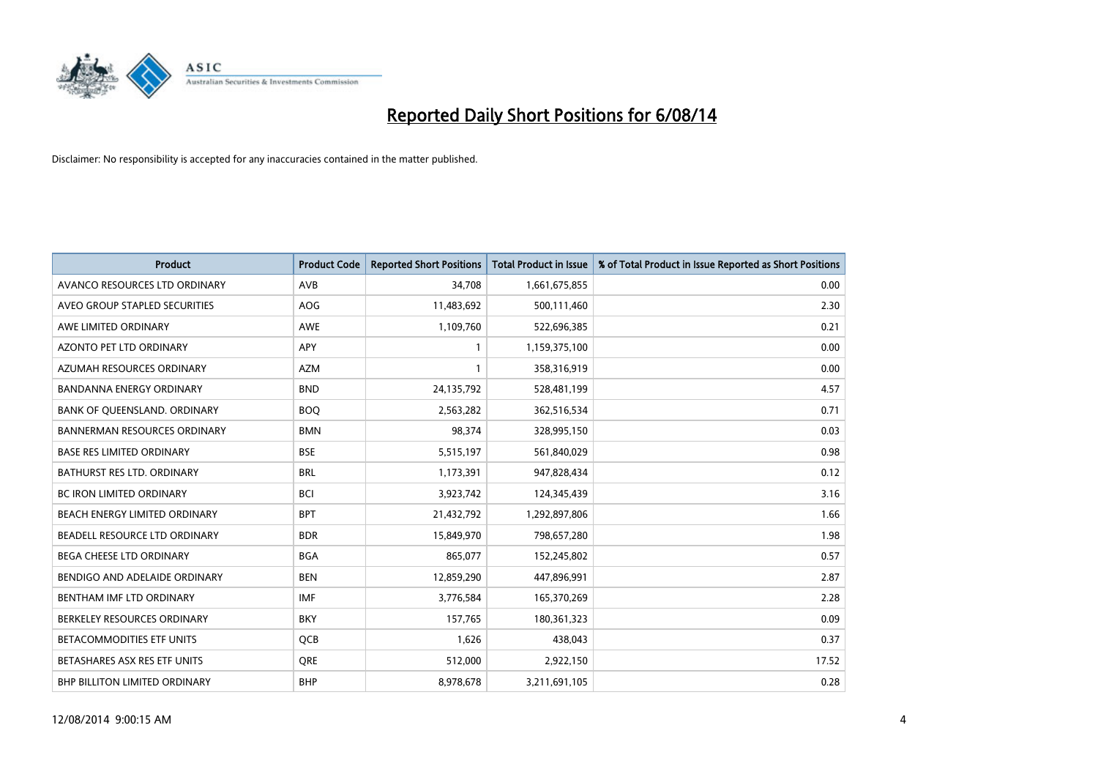

| <b>Product</b>                      | <b>Product Code</b> | <b>Reported Short Positions</b> | <b>Total Product in Issue</b> | % of Total Product in Issue Reported as Short Positions |
|-------------------------------------|---------------------|---------------------------------|-------------------------------|---------------------------------------------------------|
| AVANCO RESOURCES LTD ORDINARY       | AVB                 | 34,708                          | 1,661,675,855                 | 0.00                                                    |
| AVEO GROUP STAPLED SECURITIES       | AOG                 | 11,483,692                      | 500,111,460                   | 2.30                                                    |
| AWE LIMITED ORDINARY                | AWE                 | 1,109,760                       | 522,696,385                   | 0.21                                                    |
| AZONTO PET LTD ORDINARY             | APY                 | 1                               | 1,159,375,100                 | 0.00                                                    |
| AZUMAH RESOURCES ORDINARY           | <b>AZM</b>          | 1                               | 358,316,919                   | 0.00                                                    |
| <b>BANDANNA ENERGY ORDINARY</b>     | <b>BND</b>          | 24,135,792                      | 528,481,199                   | 4.57                                                    |
| BANK OF QUEENSLAND. ORDINARY        | <b>BOO</b>          | 2,563,282                       | 362,516,534                   | 0.71                                                    |
| <b>BANNERMAN RESOURCES ORDINARY</b> | <b>BMN</b>          | 98,374                          | 328,995,150                   | 0.03                                                    |
| <b>BASE RES LIMITED ORDINARY</b>    | <b>BSE</b>          | 5,515,197                       | 561,840,029                   | 0.98                                                    |
| <b>BATHURST RES LTD. ORDINARY</b>   | <b>BRL</b>          | 1,173,391                       | 947,828,434                   | 0.12                                                    |
| BC IRON LIMITED ORDINARY            | <b>BCI</b>          | 3,923,742                       | 124,345,439                   | 3.16                                                    |
| BEACH ENERGY LIMITED ORDINARY       | <b>BPT</b>          | 21,432,792                      | 1,292,897,806                 | 1.66                                                    |
| BEADELL RESOURCE LTD ORDINARY       | <b>BDR</b>          | 15,849,970                      | 798,657,280                   | 1.98                                                    |
| <b>BEGA CHEESE LTD ORDINARY</b>     | <b>BGA</b>          | 865,077                         | 152,245,802                   | 0.57                                                    |
| BENDIGO AND ADELAIDE ORDINARY       | <b>BEN</b>          | 12,859,290                      | 447,896,991                   | 2.87                                                    |
| BENTHAM IMF LTD ORDINARY            | <b>IMF</b>          | 3,776,584                       | 165,370,269                   | 2.28                                                    |
| BERKELEY RESOURCES ORDINARY         | <b>BKY</b>          | 157,765                         | 180,361,323                   | 0.09                                                    |
| BETACOMMODITIES ETF UNITS           | QCB                 | 1,626                           | 438,043                       | 0.37                                                    |
| BETASHARES ASX RES ETF UNITS        | <b>ORE</b>          | 512,000                         | 2,922,150                     | 17.52                                                   |
| BHP BILLITON LIMITED ORDINARY       | <b>BHP</b>          | 8,978,678                       | 3,211,691,105                 | 0.28                                                    |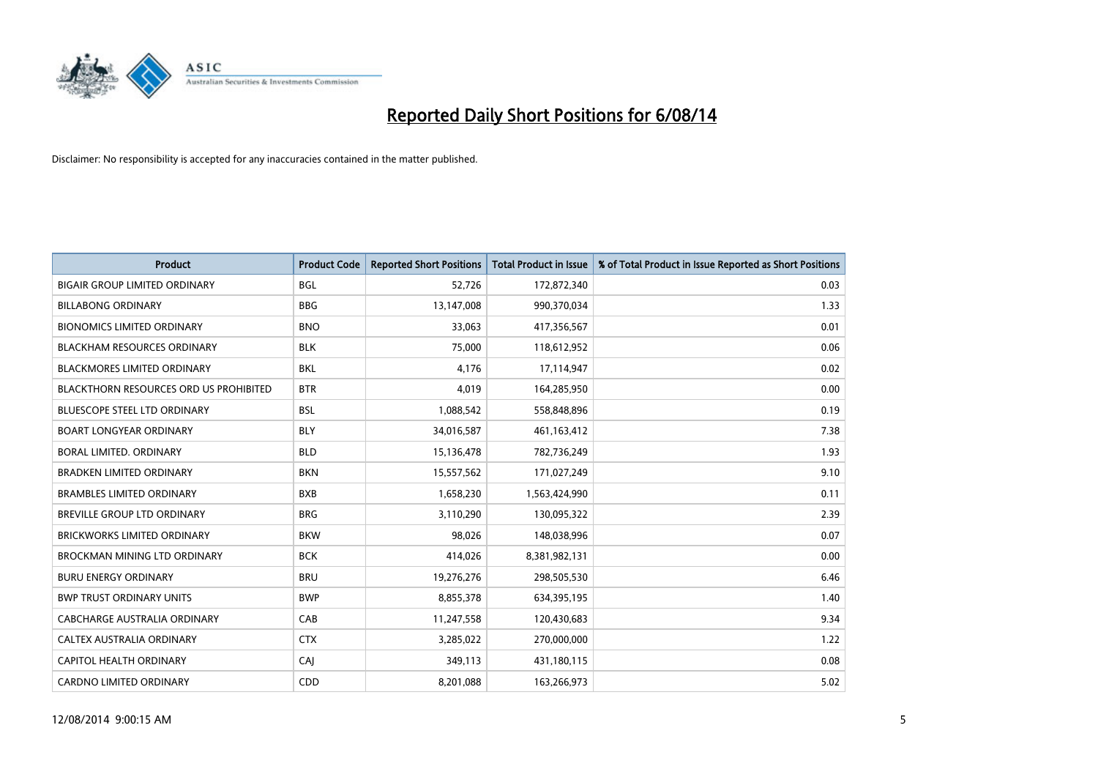

| <b>Product</b>                                | <b>Product Code</b> | <b>Reported Short Positions</b> | <b>Total Product in Issue</b> | % of Total Product in Issue Reported as Short Positions |
|-----------------------------------------------|---------------------|---------------------------------|-------------------------------|---------------------------------------------------------|
| <b>BIGAIR GROUP LIMITED ORDINARY</b>          | <b>BGL</b>          | 52,726                          | 172,872,340                   | 0.03                                                    |
| <b>BILLABONG ORDINARY</b>                     | <b>BBG</b>          | 13,147,008                      | 990,370,034                   | 1.33                                                    |
| <b>BIONOMICS LIMITED ORDINARY</b>             | <b>BNO</b>          | 33,063                          | 417,356,567                   | 0.01                                                    |
| BLACKHAM RESOURCES ORDINARY                   | <b>BLK</b>          | 75,000                          | 118,612,952                   | 0.06                                                    |
| <b>BLACKMORES LIMITED ORDINARY</b>            | <b>BKL</b>          | 4.176                           | 17,114,947                    | 0.02                                                    |
| <b>BLACKTHORN RESOURCES ORD US PROHIBITED</b> | <b>BTR</b>          | 4,019                           | 164,285,950                   | 0.00                                                    |
| <b>BLUESCOPE STEEL LTD ORDINARY</b>           | <b>BSL</b>          | 1,088,542                       | 558,848,896                   | 0.19                                                    |
| <b>BOART LONGYEAR ORDINARY</b>                | <b>BLY</b>          | 34,016,587                      | 461,163,412                   | 7.38                                                    |
| BORAL LIMITED. ORDINARY                       | <b>BLD</b>          | 15,136,478                      | 782,736,249                   | 1.93                                                    |
| <b>BRADKEN LIMITED ORDINARY</b>               | <b>BKN</b>          | 15,557,562                      | 171,027,249                   | 9.10                                                    |
| <b>BRAMBLES LIMITED ORDINARY</b>              | <b>BXB</b>          | 1,658,230                       | 1,563,424,990                 | 0.11                                                    |
| <b>BREVILLE GROUP LTD ORDINARY</b>            | <b>BRG</b>          | 3,110,290                       | 130,095,322                   | 2.39                                                    |
| <b>BRICKWORKS LIMITED ORDINARY</b>            | <b>BKW</b>          | 98,026                          | 148,038,996                   | 0.07                                                    |
| BROCKMAN MINING LTD ORDINARY                  | <b>BCK</b>          | 414,026                         | 8,381,982,131                 | 0.00                                                    |
| <b>BURU ENERGY ORDINARY</b>                   | <b>BRU</b>          | 19,276,276                      | 298,505,530                   | 6.46                                                    |
| <b>BWP TRUST ORDINARY UNITS</b>               | <b>BWP</b>          | 8,855,378                       | 634,395,195                   | 1.40                                                    |
| <b>CABCHARGE AUSTRALIA ORDINARY</b>           | CAB                 | 11,247,558                      | 120,430,683                   | 9.34                                                    |
| CALTEX AUSTRALIA ORDINARY                     | <b>CTX</b>          | 3,285,022                       | 270,000,000                   | 1.22                                                    |
| CAPITOL HEALTH ORDINARY                       | CAI                 | 349,113                         | 431,180,115                   | 0.08                                                    |
| <b>CARDNO LIMITED ORDINARY</b>                | CDD                 | 8,201,088                       | 163,266,973                   | 5.02                                                    |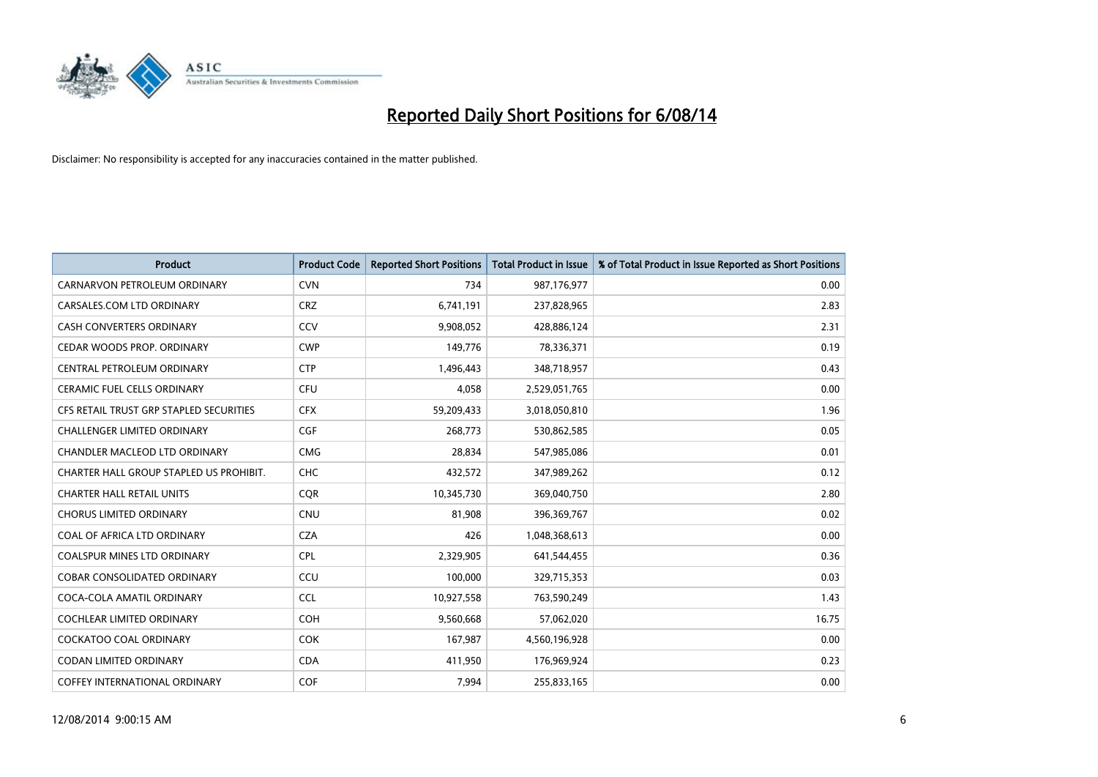

| <b>Product</b>                          | <b>Product Code</b> | <b>Reported Short Positions</b> | <b>Total Product in Issue</b> | % of Total Product in Issue Reported as Short Positions |
|-----------------------------------------|---------------------|---------------------------------|-------------------------------|---------------------------------------------------------|
| CARNARVON PETROLEUM ORDINARY            | <b>CVN</b>          | 734                             | 987,176,977                   | 0.00                                                    |
| CARSALES.COM LTD ORDINARY               | <b>CRZ</b>          | 6,741,191                       | 237,828,965                   | 2.83                                                    |
| <b>CASH CONVERTERS ORDINARY</b>         | CCV                 | 9,908,052                       | 428,886,124                   | 2.31                                                    |
| CEDAR WOODS PROP. ORDINARY              | <b>CWP</b>          | 149,776                         | 78,336,371                    | 0.19                                                    |
| CENTRAL PETROLEUM ORDINARY              | <b>CTP</b>          | 1,496,443                       | 348,718,957                   | 0.43                                                    |
| <b>CERAMIC FUEL CELLS ORDINARY</b>      | <b>CFU</b>          | 4,058                           | 2,529,051,765                 | 0.00                                                    |
| CFS RETAIL TRUST GRP STAPLED SECURITIES | <b>CFX</b>          | 59,209,433                      | 3,018,050,810                 | 1.96                                                    |
| <b>CHALLENGER LIMITED ORDINARY</b>      | <b>CGF</b>          | 268,773                         | 530,862,585                   | 0.05                                                    |
| CHANDLER MACLEOD LTD ORDINARY           | <b>CMG</b>          | 28,834                          | 547,985,086                   | 0.01                                                    |
| CHARTER HALL GROUP STAPLED US PROHIBIT. | CHC                 | 432,572                         | 347,989,262                   | 0.12                                                    |
| <b>CHARTER HALL RETAIL UNITS</b>        | <b>CQR</b>          | 10,345,730                      | 369,040,750                   | 2.80                                                    |
| <b>CHORUS LIMITED ORDINARY</b>          | <b>CNU</b>          | 81,908                          | 396,369,767                   | 0.02                                                    |
| COAL OF AFRICA LTD ORDINARY             | <b>CZA</b>          | 426                             | 1,048,368,613                 | 0.00                                                    |
| <b>COALSPUR MINES LTD ORDINARY</b>      | <b>CPL</b>          | 2,329,905                       | 641,544,455                   | 0.36                                                    |
| <b>COBAR CONSOLIDATED ORDINARY</b>      | CCU                 | 100,000                         | 329,715,353                   | 0.03                                                    |
| COCA-COLA AMATIL ORDINARY               | <b>CCL</b>          | 10,927,558                      | 763,590,249                   | 1.43                                                    |
| <b>COCHLEAR LIMITED ORDINARY</b>        | <b>COH</b>          | 9,560,668                       | 57,062,020                    | 16.75                                                   |
| <b>COCKATOO COAL ORDINARY</b>           | <b>COK</b>          | 167,987                         | 4,560,196,928                 | 0.00                                                    |
| <b>CODAN LIMITED ORDINARY</b>           | <b>CDA</b>          | 411,950                         | 176,969,924                   | 0.23                                                    |
| COFFEY INTERNATIONAL ORDINARY           | COF                 | 7,994                           | 255,833,165                   | 0.00                                                    |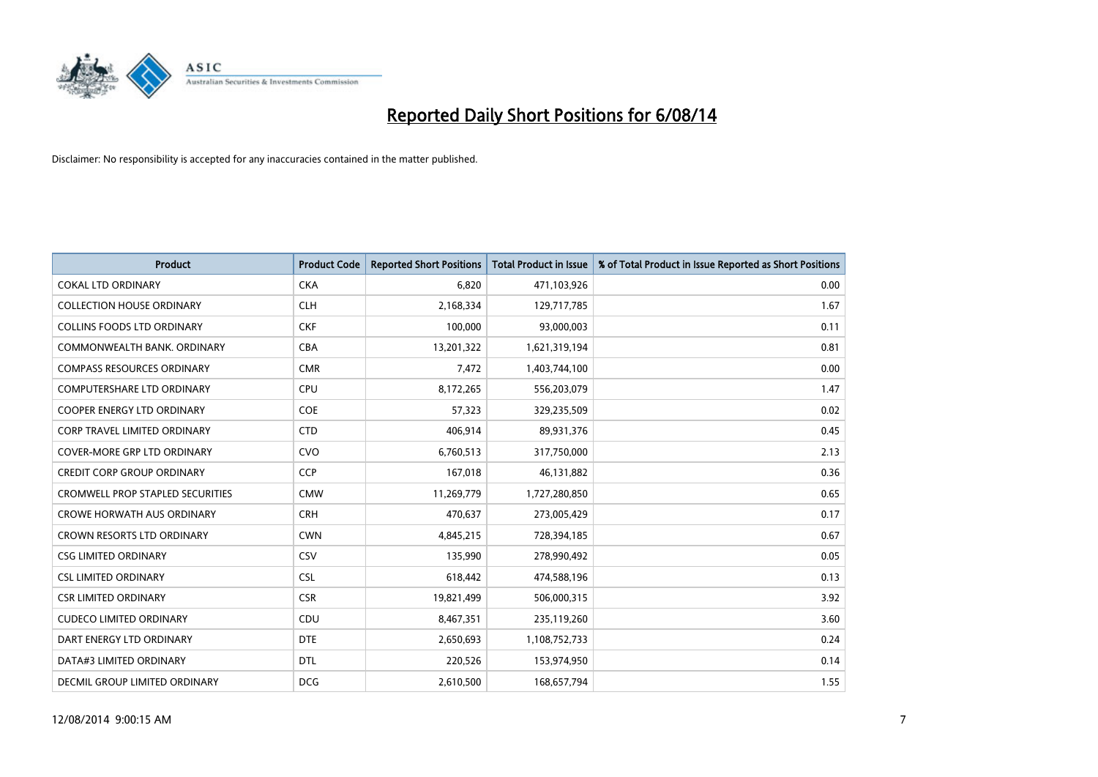

| <b>Product</b>                          | <b>Product Code</b> | <b>Reported Short Positions</b> | <b>Total Product in Issue</b> | % of Total Product in Issue Reported as Short Positions |
|-----------------------------------------|---------------------|---------------------------------|-------------------------------|---------------------------------------------------------|
| <b>COKAL LTD ORDINARY</b>               | <b>CKA</b>          | 6.820                           | 471,103,926                   | 0.00                                                    |
| <b>COLLECTION HOUSE ORDINARY</b>        | <b>CLH</b>          | 2,168,334                       | 129,717,785                   | 1.67                                                    |
| <b>COLLINS FOODS LTD ORDINARY</b>       | <b>CKF</b>          | 100,000                         | 93,000,003                    | 0.11                                                    |
| COMMONWEALTH BANK, ORDINARY             | <b>CBA</b>          | 13,201,322                      | 1,621,319,194                 | 0.81                                                    |
| <b>COMPASS RESOURCES ORDINARY</b>       | <b>CMR</b>          | 7,472                           | 1,403,744,100                 | 0.00                                                    |
| <b>COMPUTERSHARE LTD ORDINARY</b>       | <b>CPU</b>          | 8,172,265                       | 556,203,079                   | 1.47                                                    |
| <b>COOPER ENERGY LTD ORDINARY</b>       | <b>COE</b>          | 57,323                          | 329,235,509                   | 0.02                                                    |
| <b>CORP TRAVEL LIMITED ORDINARY</b>     | <b>CTD</b>          | 406,914                         | 89,931,376                    | 0.45                                                    |
| <b>COVER-MORE GRP LTD ORDINARY</b>      | <b>CVO</b>          | 6,760,513                       | 317,750,000                   | 2.13                                                    |
| CREDIT CORP GROUP ORDINARY              | <b>CCP</b>          | 167,018                         | 46,131,882                    | 0.36                                                    |
| <b>CROMWELL PROP STAPLED SECURITIES</b> | <b>CMW</b>          | 11,269,779                      | 1,727,280,850                 | 0.65                                                    |
| <b>CROWE HORWATH AUS ORDINARY</b>       | <b>CRH</b>          | 470,637                         | 273,005,429                   | 0.17                                                    |
| <b>CROWN RESORTS LTD ORDINARY</b>       | <b>CWN</b>          | 4,845,215                       | 728,394,185                   | 0.67                                                    |
| <b>CSG LIMITED ORDINARY</b>             | CSV                 | 135,990                         | 278,990,492                   | 0.05                                                    |
| <b>CSL LIMITED ORDINARY</b>             | <b>CSL</b>          | 618,442                         | 474,588,196                   | 0.13                                                    |
| <b>CSR LIMITED ORDINARY</b>             | <b>CSR</b>          | 19,821,499                      | 506,000,315                   | 3.92                                                    |
| <b>CUDECO LIMITED ORDINARY</b>          | CDU                 | 8,467,351                       | 235,119,260                   | 3.60                                                    |
| DART ENERGY LTD ORDINARY                | <b>DTE</b>          | 2,650,693                       | 1,108,752,733                 | 0.24                                                    |
| DATA#3 LIMITED ORDINARY                 | <b>DTL</b>          | 220,526                         | 153,974,950                   | 0.14                                                    |
| DECMIL GROUP LIMITED ORDINARY           | <b>DCG</b>          | 2,610,500                       | 168,657,794                   | 1.55                                                    |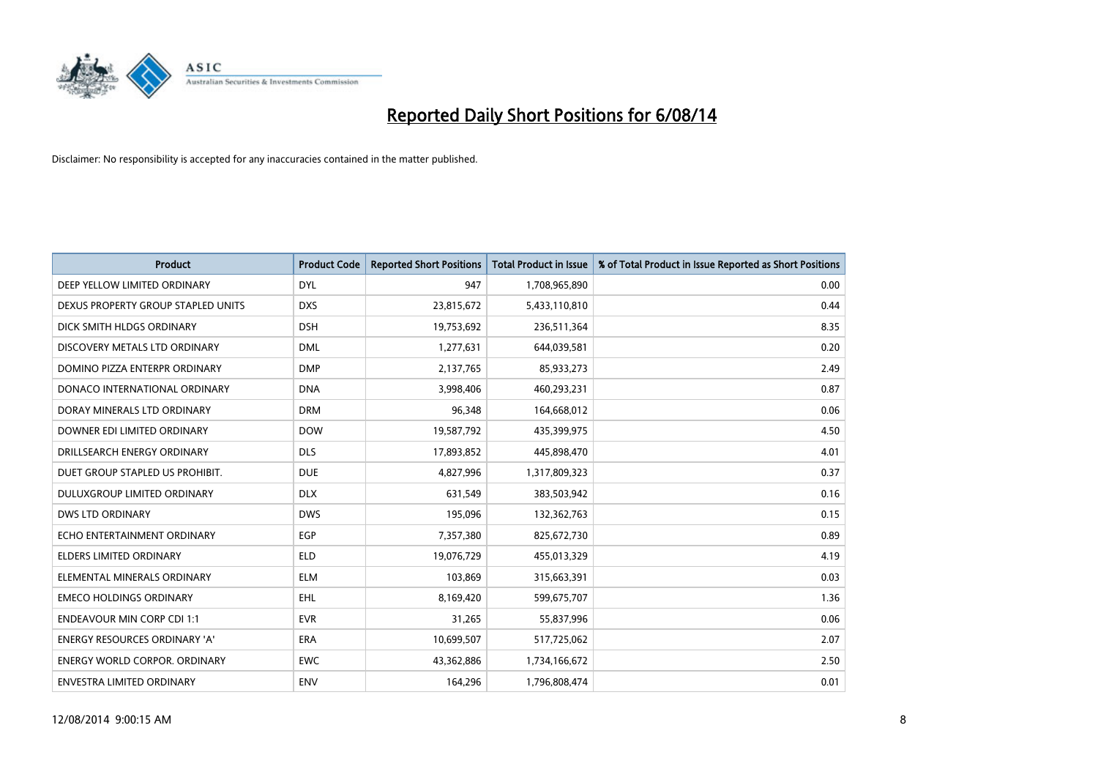

| <b>Product</b>                       | <b>Product Code</b> | <b>Reported Short Positions</b> | <b>Total Product in Issue</b> | % of Total Product in Issue Reported as Short Positions |
|--------------------------------------|---------------------|---------------------------------|-------------------------------|---------------------------------------------------------|
| DEEP YELLOW LIMITED ORDINARY         | <b>DYL</b>          | 947                             | 1,708,965,890                 | 0.00                                                    |
| DEXUS PROPERTY GROUP STAPLED UNITS   | <b>DXS</b>          | 23,815,672                      | 5,433,110,810                 | 0.44                                                    |
| DICK SMITH HLDGS ORDINARY            | <b>DSH</b>          | 19,753,692                      | 236,511,364                   | 8.35                                                    |
| DISCOVERY METALS LTD ORDINARY        | <b>DML</b>          | 1,277,631                       | 644,039,581                   | 0.20                                                    |
| DOMINO PIZZA ENTERPR ORDINARY        | <b>DMP</b>          | 2,137,765                       | 85,933,273                    | 2.49                                                    |
| DONACO INTERNATIONAL ORDINARY        | <b>DNA</b>          | 3,998,406                       | 460,293,231                   | 0.87                                                    |
| DORAY MINERALS LTD ORDINARY          | <b>DRM</b>          | 96,348                          | 164,668,012                   | 0.06                                                    |
| DOWNER EDI LIMITED ORDINARY          | <b>DOW</b>          | 19,587,792                      | 435,399,975                   | 4.50                                                    |
| DRILLSEARCH ENERGY ORDINARY          | <b>DLS</b>          | 17,893,852                      | 445,898,470                   | 4.01                                                    |
| DUET GROUP STAPLED US PROHIBIT.      | <b>DUE</b>          | 4,827,996                       | 1,317,809,323                 | 0.37                                                    |
| DULUXGROUP LIMITED ORDINARY          | <b>DLX</b>          | 631,549                         | 383,503,942                   | 0.16                                                    |
| <b>DWS LTD ORDINARY</b>              | <b>DWS</b>          | 195,096                         | 132,362,763                   | 0.15                                                    |
| ECHO ENTERTAINMENT ORDINARY          | <b>EGP</b>          | 7,357,380                       | 825,672,730                   | 0.89                                                    |
| <b>ELDERS LIMITED ORDINARY</b>       | <b>ELD</b>          | 19,076,729                      | 455,013,329                   | 4.19                                                    |
| ELEMENTAL MINERALS ORDINARY          | <b>ELM</b>          | 103,869                         | 315,663,391                   | 0.03                                                    |
| <b>EMECO HOLDINGS ORDINARY</b>       | <b>EHL</b>          | 8,169,420                       | 599,675,707                   | 1.36                                                    |
| <b>ENDEAVOUR MIN CORP CDI 1:1</b>    | <b>EVR</b>          | 31,265                          | 55,837,996                    | 0.06                                                    |
| <b>ENERGY RESOURCES ORDINARY 'A'</b> | <b>ERA</b>          | 10,699,507                      | 517,725,062                   | 2.07                                                    |
| <b>ENERGY WORLD CORPOR, ORDINARY</b> | <b>EWC</b>          | 43,362,886                      | 1,734,166,672                 | 2.50                                                    |
| ENVESTRA LIMITED ORDINARY            | <b>ENV</b>          | 164,296                         | 1,796,808,474                 | 0.01                                                    |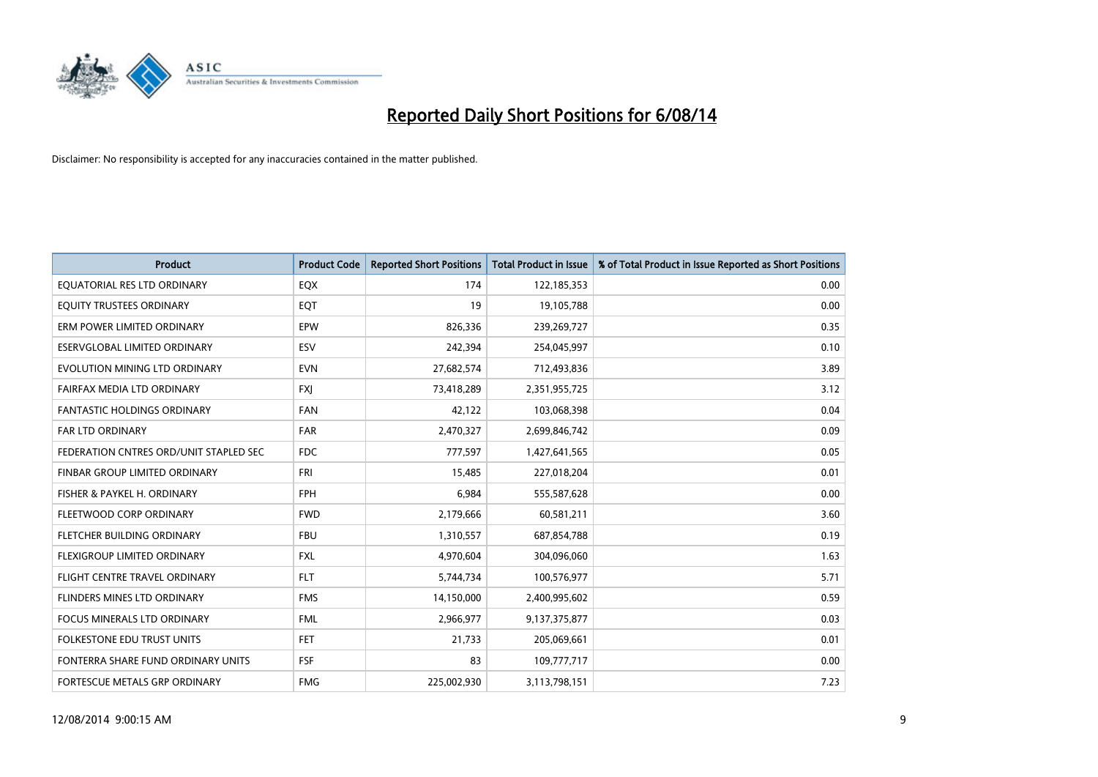

| <b>Product</b>                         | <b>Product Code</b> | <b>Reported Short Positions</b> | <b>Total Product in Issue</b> | % of Total Product in Issue Reported as Short Positions |
|----------------------------------------|---------------------|---------------------------------|-------------------------------|---------------------------------------------------------|
| EQUATORIAL RES LTD ORDINARY            | EQX                 | 174                             | 122,185,353                   | 0.00                                                    |
| EQUITY TRUSTEES ORDINARY               | EQT                 | 19                              | 19,105,788                    | 0.00                                                    |
| ERM POWER LIMITED ORDINARY             | EPW                 | 826,336                         | 239,269,727                   | 0.35                                                    |
| ESERVGLOBAL LIMITED ORDINARY           | ESV                 | 242,394                         | 254,045,997                   | 0.10                                                    |
| EVOLUTION MINING LTD ORDINARY          | <b>EVN</b>          | 27,682,574                      | 712,493,836                   | 3.89                                                    |
| FAIRFAX MEDIA LTD ORDINARY             | <b>FXI</b>          | 73,418,289                      | 2,351,955,725                 | 3.12                                                    |
| <b>FANTASTIC HOLDINGS ORDINARY</b>     | <b>FAN</b>          | 42,122                          | 103,068,398                   | 0.04                                                    |
| FAR LTD ORDINARY                       | <b>FAR</b>          | 2,470,327                       | 2,699,846,742                 | 0.09                                                    |
| FEDERATION CNTRES ORD/UNIT STAPLED SEC | <b>FDC</b>          | 777,597                         | 1,427,641,565                 | 0.05                                                    |
| FINBAR GROUP LIMITED ORDINARY          | FRI                 | 15,485                          | 227,018,204                   | 0.01                                                    |
| FISHER & PAYKEL H. ORDINARY            | <b>FPH</b>          | 6,984                           | 555,587,628                   | 0.00                                                    |
| FLEETWOOD CORP ORDINARY                | <b>FWD</b>          | 2,179,666                       | 60,581,211                    | 3.60                                                    |
| FLETCHER BUILDING ORDINARY             | <b>FBU</b>          | 1,310,557                       | 687,854,788                   | 0.19                                                    |
| FLEXIGROUP LIMITED ORDINARY            | <b>FXL</b>          | 4,970,604                       | 304,096,060                   | 1.63                                                    |
| FLIGHT CENTRE TRAVEL ORDINARY          | <b>FLT</b>          | 5,744,734                       | 100,576,977                   | 5.71                                                    |
| FLINDERS MINES LTD ORDINARY            | <b>FMS</b>          | 14,150,000                      | 2,400,995,602                 | 0.59                                                    |
| FOCUS MINERALS LTD ORDINARY            | <b>FML</b>          | 2,966,977                       | 9,137,375,877                 | 0.03                                                    |
| FOLKESTONE EDU TRUST UNITS             | <b>FET</b>          | 21,733                          | 205,069,661                   | 0.01                                                    |
| FONTERRA SHARE FUND ORDINARY UNITS     | <b>FSF</b>          | 83                              | 109,777,717                   | 0.00                                                    |
| FORTESCUE METALS GRP ORDINARY          | <b>FMG</b>          | 225,002,930                     | 3,113,798,151                 | 7.23                                                    |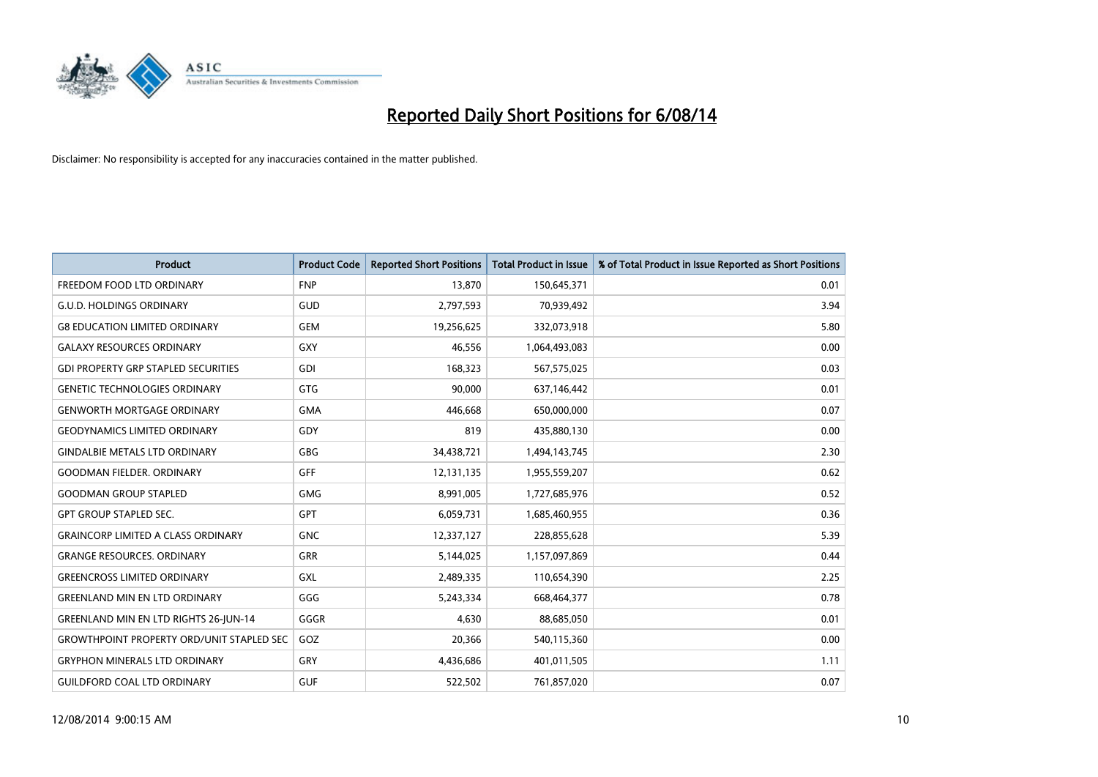

| <b>Product</b>                                   | <b>Product Code</b> | <b>Reported Short Positions</b> | <b>Total Product in Issue</b> | % of Total Product in Issue Reported as Short Positions |
|--------------------------------------------------|---------------------|---------------------------------|-------------------------------|---------------------------------------------------------|
| FREEDOM FOOD LTD ORDINARY                        | <b>FNP</b>          | 13,870                          | 150,645,371                   | 0.01                                                    |
| <b>G.U.D. HOLDINGS ORDINARY</b>                  | GUD                 | 2,797,593                       | 70,939,492                    | 3.94                                                    |
| <b>G8 EDUCATION LIMITED ORDINARY</b>             | <b>GEM</b>          | 19,256,625                      | 332,073,918                   | 5.80                                                    |
| <b>GALAXY RESOURCES ORDINARY</b>                 | <b>GXY</b>          | 46,556                          | 1,064,493,083                 | 0.00                                                    |
| <b>GDI PROPERTY GRP STAPLED SECURITIES</b>       | <b>GDI</b>          | 168,323                         | 567,575,025                   | 0.03                                                    |
| <b>GENETIC TECHNOLOGIES ORDINARY</b>             | <b>GTG</b>          | 90,000                          | 637,146,442                   | 0.01                                                    |
| <b>GENWORTH MORTGAGE ORDINARY</b>                | <b>GMA</b>          | 446,668                         | 650,000,000                   | 0.07                                                    |
| <b>GEODYNAMICS LIMITED ORDINARY</b>              | GDY                 | 819                             | 435,880,130                   | 0.00                                                    |
| <b>GINDALBIE METALS LTD ORDINARY</b>             | <b>GBG</b>          | 34,438,721                      | 1,494,143,745                 | 2.30                                                    |
| <b>GOODMAN FIELDER, ORDINARY</b>                 | <b>GFF</b>          | 12,131,135                      | 1,955,559,207                 | 0.62                                                    |
| <b>GOODMAN GROUP STAPLED</b>                     | <b>GMG</b>          | 8,991,005                       | 1,727,685,976                 | 0.52                                                    |
| <b>GPT GROUP STAPLED SEC.</b>                    | <b>GPT</b>          | 6,059,731                       | 1,685,460,955                 | 0.36                                                    |
| <b>GRAINCORP LIMITED A CLASS ORDINARY</b>        | <b>GNC</b>          | 12,337,127                      | 228,855,628                   | 5.39                                                    |
| <b>GRANGE RESOURCES, ORDINARY</b>                | GRR                 | 5,144,025                       | 1,157,097,869                 | 0.44                                                    |
| <b>GREENCROSS LIMITED ORDINARY</b>               | <b>GXL</b>          | 2,489,335                       | 110,654,390                   | 2.25                                                    |
| <b>GREENLAND MIN EN LTD ORDINARY</b>             | GGG                 | 5,243,334                       | 668,464,377                   | 0.78                                                    |
| <b>GREENLAND MIN EN LTD RIGHTS 26-JUN-14</b>     | GGGR                | 4,630                           | 88,685,050                    | 0.01                                                    |
| <b>GROWTHPOINT PROPERTY ORD/UNIT STAPLED SEC</b> | GOZ                 | 20,366                          | 540,115,360                   | 0.00                                                    |
| <b>GRYPHON MINERALS LTD ORDINARY</b>             | GRY                 | 4,436,686                       | 401,011,505                   | 1.11                                                    |
| <b>GUILDFORD COAL LTD ORDINARY</b>               | <b>GUF</b>          | 522,502                         | 761,857,020                   | 0.07                                                    |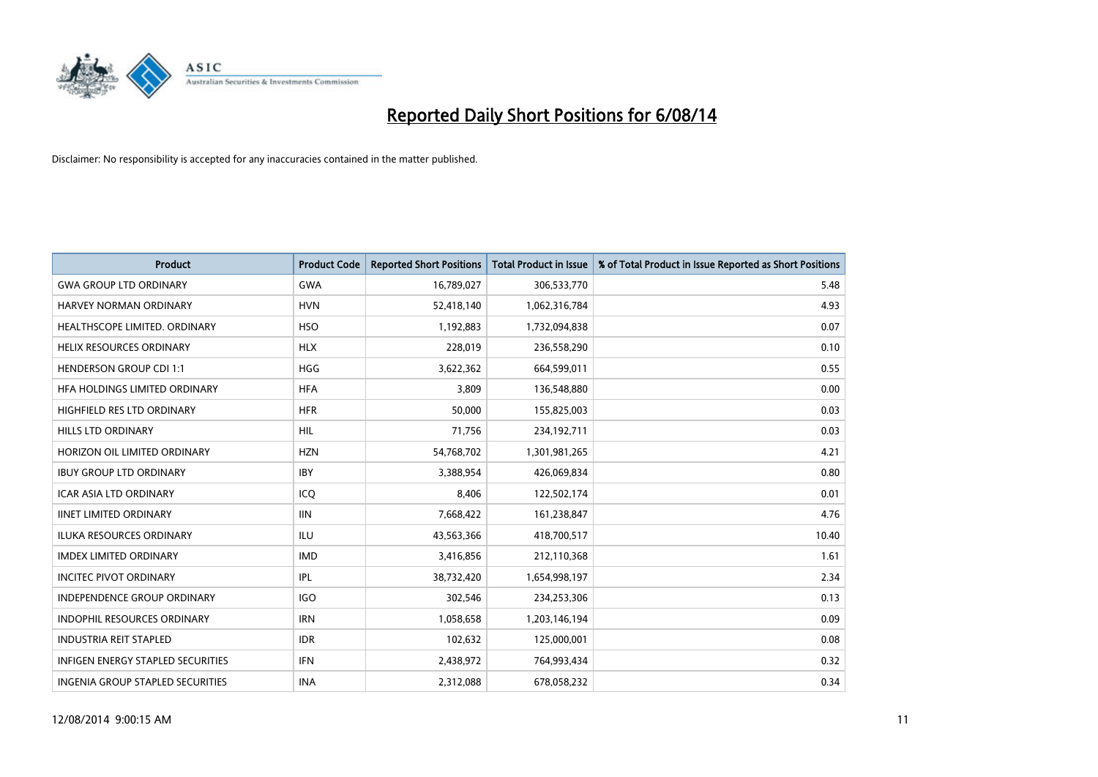

| Product                                  | <b>Product Code</b> | <b>Reported Short Positions</b> | <b>Total Product in Issue</b> | % of Total Product in Issue Reported as Short Positions |
|------------------------------------------|---------------------|---------------------------------|-------------------------------|---------------------------------------------------------|
| <b>GWA GROUP LTD ORDINARY</b>            | <b>GWA</b>          | 16,789,027                      | 306,533,770                   | 5.48                                                    |
| HARVEY NORMAN ORDINARY                   | <b>HVN</b>          | 52,418,140                      | 1,062,316,784                 | 4.93                                                    |
| HEALTHSCOPE LIMITED. ORDINARY            | <b>HSO</b>          | 1,192,883                       | 1,732,094,838                 | 0.07                                                    |
| <b>HELIX RESOURCES ORDINARY</b>          | <b>HLX</b>          | 228,019                         | 236,558,290                   | 0.10                                                    |
| <b>HENDERSON GROUP CDI 1:1</b>           | <b>HGG</b>          | 3,622,362                       | 664,599,011                   | 0.55                                                    |
| HFA HOLDINGS LIMITED ORDINARY            | <b>HFA</b>          | 3,809                           | 136,548,880                   | 0.00                                                    |
| HIGHFIELD RES LTD ORDINARY               | <b>HFR</b>          | 50,000                          | 155,825,003                   | 0.03                                                    |
| HILLS LTD ORDINARY                       | HIL                 | 71,756                          | 234,192,711                   | 0.03                                                    |
| HORIZON OIL LIMITED ORDINARY             | <b>HZN</b>          | 54,768,702                      | 1,301,981,265                 | 4.21                                                    |
| <b>IBUY GROUP LTD ORDINARY</b>           | <b>IBY</b>          | 3,388,954                       | 426,069,834                   | 0.80                                                    |
| ICAR ASIA LTD ORDINARY                   | ICQ                 | 8,406                           | 122,502,174                   | 0.01                                                    |
| <b>IINET LIMITED ORDINARY</b>            | <b>IIN</b>          | 7,668,422                       | 161,238,847                   | 4.76                                                    |
| <b>ILUKA RESOURCES ORDINARY</b>          | ILU                 | 43,563,366                      | 418,700,517                   | 10.40                                                   |
| <b>IMDEX LIMITED ORDINARY</b>            | <b>IMD</b>          | 3,416,856                       | 212,110,368                   | 1.61                                                    |
| <b>INCITEC PIVOT ORDINARY</b>            | IPL                 | 38,732,420                      | 1,654,998,197                 | 2.34                                                    |
| <b>INDEPENDENCE GROUP ORDINARY</b>       | <b>IGO</b>          | 302,546                         | 234,253,306                   | 0.13                                                    |
| <b>INDOPHIL RESOURCES ORDINARY</b>       | <b>IRN</b>          | 1,058,658                       | 1,203,146,194                 | 0.09                                                    |
| <b>INDUSTRIA REIT STAPLED</b>            | <b>IDR</b>          | 102,632                         | 125,000,001                   | 0.08                                                    |
| <b>INFIGEN ENERGY STAPLED SECURITIES</b> | IFN                 | 2,438,972                       | 764,993,434                   | 0.32                                                    |
| INGENIA GROUP STAPLED SECURITIES         | <b>INA</b>          | 2,312,088                       | 678,058,232                   | 0.34                                                    |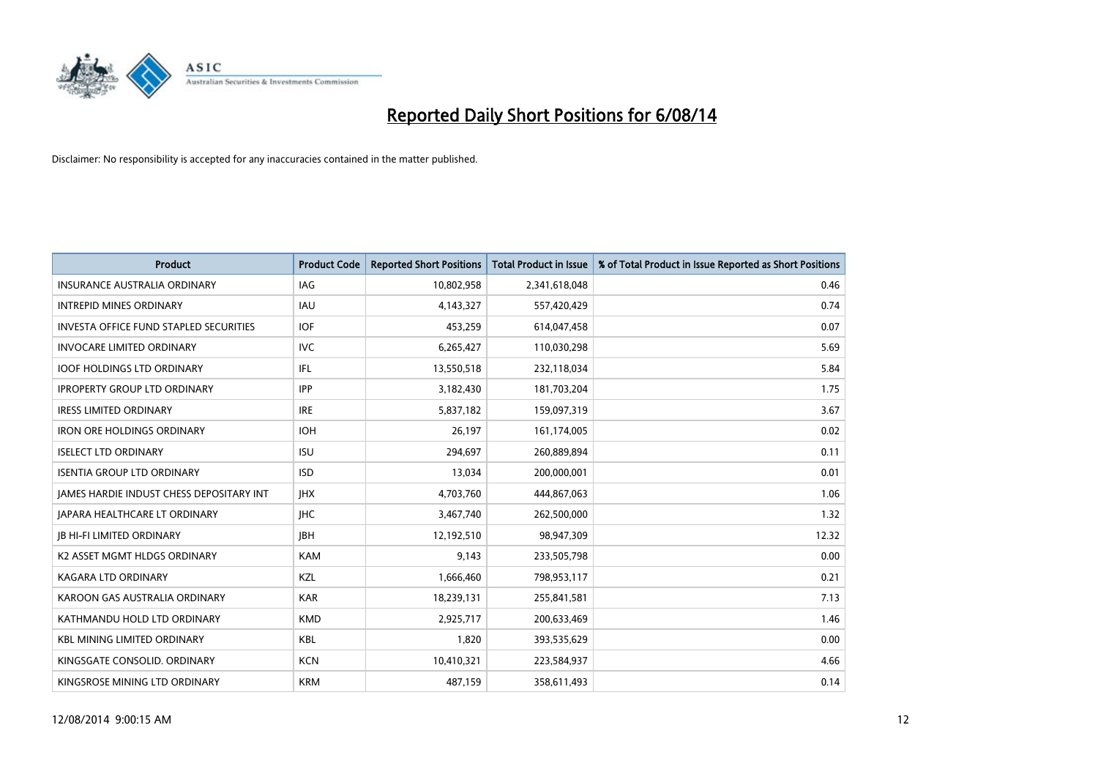

| <b>Product</b>                                | <b>Product Code</b> | <b>Reported Short Positions</b> | <b>Total Product in Issue</b> | % of Total Product in Issue Reported as Short Positions |
|-----------------------------------------------|---------------------|---------------------------------|-------------------------------|---------------------------------------------------------|
| <b>INSURANCE AUSTRALIA ORDINARY</b>           | <b>IAG</b>          | 10,802,958                      | 2,341,618,048                 | 0.46                                                    |
| <b>INTREPID MINES ORDINARY</b>                | <b>IAU</b>          | 4,143,327                       | 557,420,429                   | 0.74                                                    |
| <b>INVESTA OFFICE FUND STAPLED SECURITIES</b> | <b>IOF</b>          | 453,259                         | 614,047,458                   | 0.07                                                    |
| <b>INVOCARE LIMITED ORDINARY</b>              | <b>IVC</b>          | 6,265,427                       | 110,030,298                   | 5.69                                                    |
| <b>IOOF HOLDINGS LTD ORDINARY</b>             | IFL.                | 13,550,518                      | 232,118,034                   | 5.84                                                    |
| <b>IPROPERTY GROUP LTD ORDINARY</b>           | <b>IPP</b>          | 3,182,430                       | 181,703,204                   | 1.75                                                    |
| <b>IRESS LIMITED ORDINARY</b>                 | <b>IRE</b>          | 5,837,182                       | 159,097,319                   | 3.67                                                    |
| <b>IRON ORE HOLDINGS ORDINARY</b>             | <b>IOH</b>          | 26,197                          | 161,174,005                   | 0.02                                                    |
| <b>ISELECT LTD ORDINARY</b>                   | <b>ISU</b>          | 294,697                         | 260,889,894                   | 0.11                                                    |
| <b>ISENTIA GROUP LTD ORDINARY</b>             | <b>ISD</b>          | 13,034                          | 200,000,001                   | 0.01                                                    |
| JAMES HARDIE INDUST CHESS DEPOSITARY INT      | <b>IHX</b>          | 4,703,760                       | 444,867,063                   | 1.06                                                    |
| <b>JAPARA HEALTHCARE LT ORDINARY</b>          | <b>IHC</b>          | 3,467,740                       | 262,500,000                   | 1.32                                                    |
| <b>JB HI-FI LIMITED ORDINARY</b>              | <b>IBH</b>          | 12,192,510                      | 98,947,309                    | 12.32                                                   |
| K2 ASSET MGMT HLDGS ORDINARY                  | <b>KAM</b>          | 9,143                           | 233,505,798                   | 0.00                                                    |
| <b>KAGARA LTD ORDINARY</b>                    | KZL                 | 1,666,460                       | 798,953,117                   | 0.21                                                    |
| KAROON GAS AUSTRALIA ORDINARY                 | <b>KAR</b>          | 18,239,131                      | 255,841,581                   | 7.13                                                    |
| KATHMANDU HOLD LTD ORDINARY                   | <b>KMD</b>          | 2,925,717                       | 200,633,469                   | 1.46                                                    |
| <b>KBL MINING LIMITED ORDINARY</b>            | <b>KBL</b>          | 1,820                           | 393,535,629                   | 0.00                                                    |
| KINGSGATE CONSOLID. ORDINARY                  | <b>KCN</b>          | 10,410,321                      | 223,584,937                   | 4.66                                                    |
| KINGSROSE MINING LTD ORDINARY                 | <b>KRM</b>          | 487,159                         | 358,611,493                   | 0.14                                                    |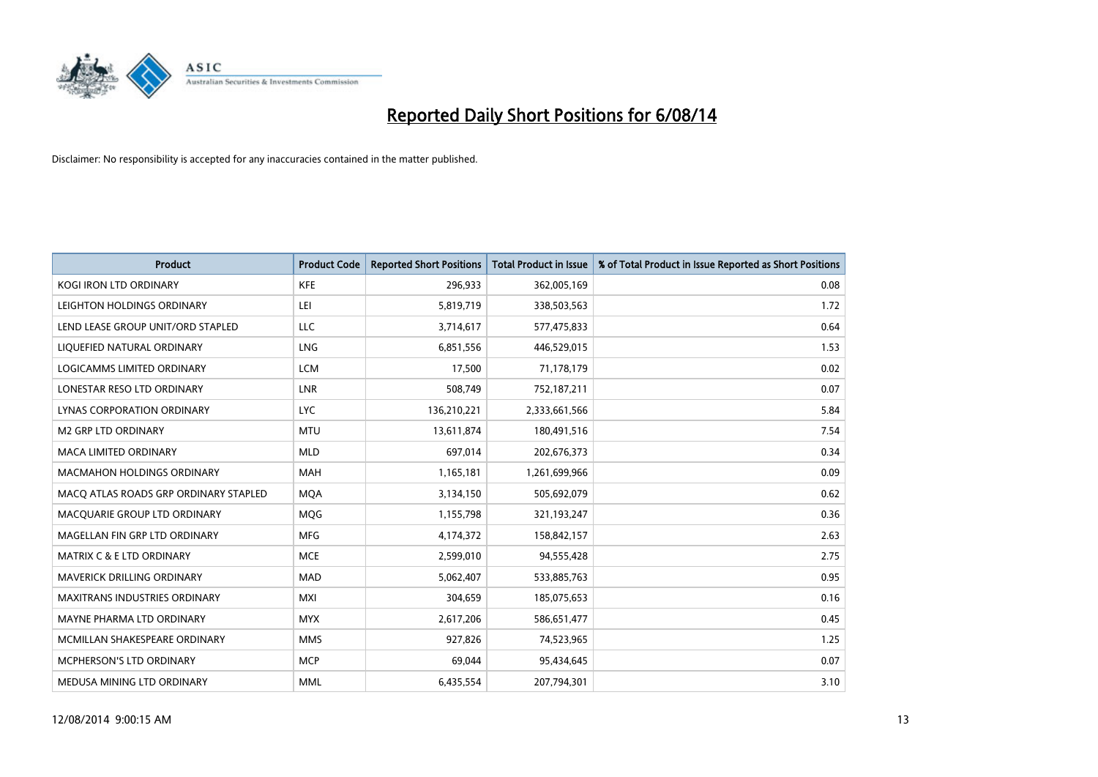

| <b>Product</b>                        | <b>Product Code</b> | <b>Reported Short Positions</b> | <b>Total Product in Issue</b> | % of Total Product in Issue Reported as Short Positions |
|---------------------------------------|---------------------|---------------------------------|-------------------------------|---------------------------------------------------------|
| <b>KOGI IRON LTD ORDINARY</b>         | <b>KFE</b>          | 296,933                         | 362,005,169                   | 0.08                                                    |
| LEIGHTON HOLDINGS ORDINARY            | LEI                 | 5,819,719                       | 338,503,563                   | 1.72                                                    |
| LEND LEASE GROUP UNIT/ORD STAPLED     | <b>LLC</b>          | 3,714,617                       | 577,475,833                   | 0.64                                                    |
| LIQUEFIED NATURAL ORDINARY            | <b>LNG</b>          | 6,851,556                       | 446,529,015                   | 1.53                                                    |
| <b>LOGICAMMS LIMITED ORDINARY</b>     | <b>LCM</b>          | 17,500                          | 71,178,179                    | 0.02                                                    |
| LONESTAR RESO LTD ORDINARY            | <b>LNR</b>          | 508,749                         | 752,187,211                   | 0.07                                                    |
| LYNAS CORPORATION ORDINARY            | <b>LYC</b>          | 136,210,221                     | 2,333,661,566                 | 5.84                                                    |
| <b>M2 GRP LTD ORDINARY</b>            | <b>MTU</b>          | 13,611,874                      | 180,491,516                   | 7.54                                                    |
| <b>MACA LIMITED ORDINARY</b>          | <b>MLD</b>          | 697,014                         | 202,676,373                   | 0.34                                                    |
| <b>MACMAHON HOLDINGS ORDINARY</b>     | <b>MAH</b>          | 1,165,181                       | 1,261,699,966                 | 0.09                                                    |
| MACO ATLAS ROADS GRP ORDINARY STAPLED | <b>MOA</b>          | 3,134,150                       | 505,692,079                   | 0.62                                                    |
| MACQUARIE GROUP LTD ORDINARY          | MQG                 | 1,155,798                       | 321,193,247                   | 0.36                                                    |
| MAGELLAN FIN GRP LTD ORDINARY         | <b>MFG</b>          | 4,174,372                       | 158,842,157                   | 2.63                                                    |
| <b>MATRIX C &amp; E LTD ORDINARY</b>  | <b>MCE</b>          | 2,599,010                       | 94,555,428                    | 2.75                                                    |
| MAVERICK DRILLING ORDINARY            | <b>MAD</b>          | 5,062,407                       | 533,885,763                   | 0.95                                                    |
| MAXITRANS INDUSTRIES ORDINARY         | <b>MXI</b>          | 304,659                         | 185,075,653                   | 0.16                                                    |
| MAYNE PHARMA LTD ORDINARY             | <b>MYX</b>          | 2,617,206                       | 586,651,477                   | 0.45                                                    |
| MCMILLAN SHAKESPEARE ORDINARY         | <b>MMS</b>          | 927,826                         | 74,523,965                    | 1.25                                                    |
| MCPHERSON'S LTD ORDINARY              | <b>MCP</b>          | 69,044                          | 95,434,645                    | 0.07                                                    |
| MEDUSA MINING LTD ORDINARY            | <b>MML</b>          | 6,435,554                       | 207,794,301                   | 3.10                                                    |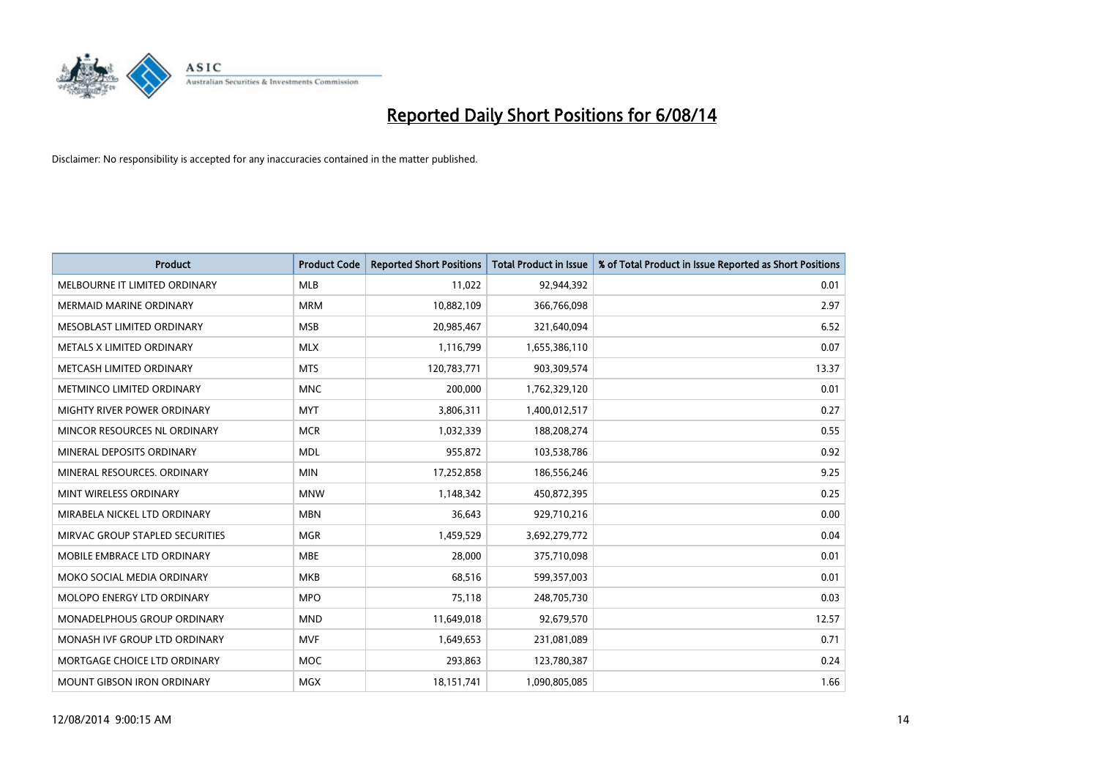

| <b>Product</b>                     | <b>Product Code</b> | <b>Reported Short Positions</b> | <b>Total Product in Issue</b> | % of Total Product in Issue Reported as Short Positions |
|------------------------------------|---------------------|---------------------------------|-------------------------------|---------------------------------------------------------|
| MELBOURNE IT LIMITED ORDINARY      | <b>MLB</b>          | 11,022                          | 92,944,392                    | 0.01                                                    |
| MERMAID MARINE ORDINARY            | <b>MRM</b>          | 10,882,109                      | 366,766,098                   | 2.97                                                    |
| MESOBLAST LIMITED ORDINARY         | <b>MSB</b>          | 20,985,467                      | 321,640,094                   | 6.52                                                    |
| METALS X LIMITED ORDINARY          | <b>MLX</b>          | 1,116,799                       | 1,655,386,110                 | 0.07                                                    |
| METCASH LIMITED ORDINARY           | <b>MTS</b>          | 120,783,771                     | 903,309,574                   | 13.37                                                   |
| METMINCO LIMITED ORDINARY          | <b>MNC</b>          | 200,000                         | 1,762,329,120                 | 0.01                                                    |
| <b>MIGHTY RIVER POWER ORDINARY</b> | <b>MYT</b>          | 3,806,311                       | 1,400,012,517                 | 0.27                                                    |
| MINCOR RESOURCES NL ORDINARY       | <b>MCR</b>          | 1,032,339                       | 188,208,274                   | 0.55                                                    |
| MINERAL DEPOSITS ORDINARY          | <b>MDL</b>          | 955,872                         | 103,538,786                   | 0.92                                                    |
| MINERAL RESOURCES, ORDINARY        | <b>MIN</b>          | 17,252,858                      | 186,556,246                   | 9.25                                                    |
| MINT WIRELESS ORDINARY             | <b>MNW</b>          | 1,148,342                       | 450,872,395                   | 0.25                                                    |
| MIRABELA NICKEL LTD ORDINARY       | <b>MBN</b>          | 36,643                          | 929,710,216                   | 0.00                                                    |
| MIRVAC GROUP STAPLED SECURITIES    | <b>MGR</b>          | 1,459,529                       | 3,692,279,772                 | 0.04                                                    |
| MOBILE EMBRACE LTD ORDINARY        | <b>MBE</b>          | 28,000                          | 375,710,098                   | 0.01                                                    |
| MOKO SOCIAL MEDIA ORDINARY         | <b>MKB</b>          | 68,516                          | 599,357,003                   | 0.01                                                    |
| MOLOPO ENERGY LTD ORDINARY         | <b>MPO</b>          | 75,118                          | 248,705,730                   | 0.03                                                    |
| MONADELPHOUS GROUP ORDINARY        | <b>MND</b>          | 11,649,018                      | 92,679,570                    | 12.57                                                   |
| MONASH IVF GROUP LTD ORDINARY      | <b>MVF</b>          | 1,649,653                       | 231,081,089                   | 0.71                                                    |
| MORTGAGE CHOICE LTD ORDINARY       | <b>MOC</b>          | 293,863                         | 123,780,387                   | 0.24                                                    |
| MOUNT GIBSON IRON ORDINARY         | <b>MGX</b>          | 18, 151, 741                    | 1,090,805,085                 | 1.66                                                    |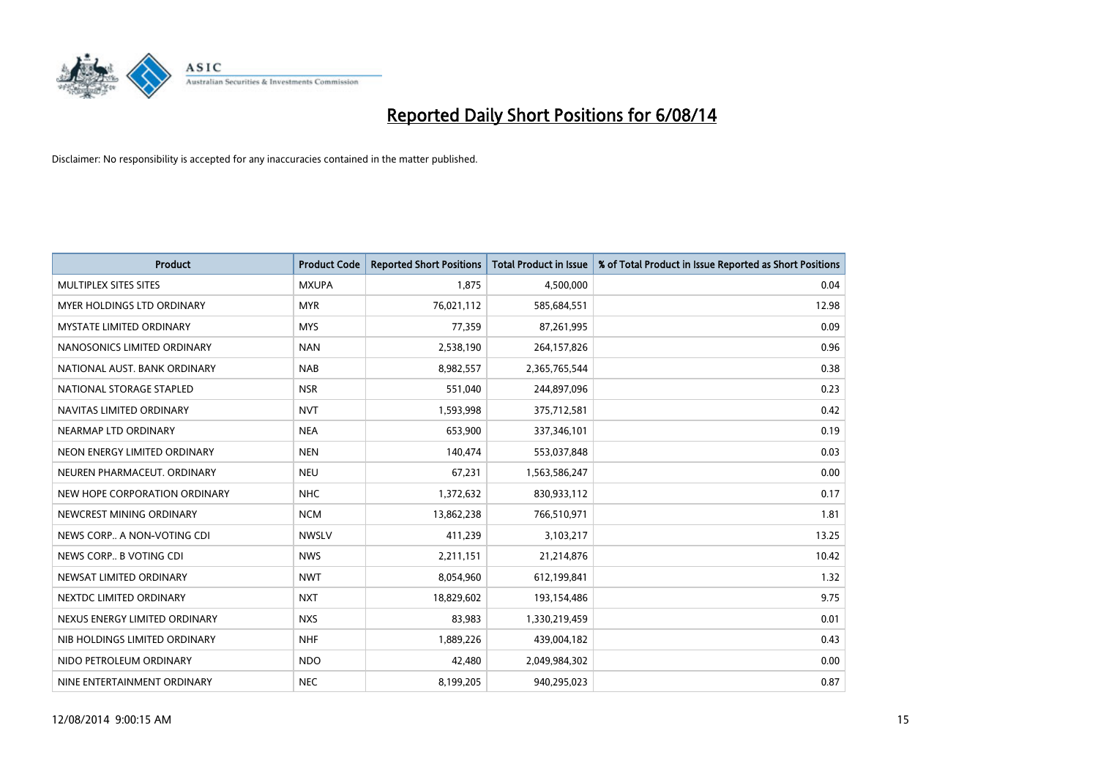

| <b>Product</b>                  | <b>Product Code</b> | <b>Reported Short Positions</b> | <b>Total Product in Issue</b> | % of Total Product in Issue Reported as Short Positions |
|---------------------------------|---------------------|---------------------------------|-------------------------------|---------------------------------------------------------|
| MULTIPLEX SITES SITES           | <b>MXUPA</b>        | 1,875                           | 4,500,000                     | 0.04                                                    |
| MYER HOLDINGS LTD ORDINARY      | <b>MYR</b>          | 76,021,112                      | 585,684,551                   | 12.98                                                   |
| <b>MYSTATE LIMITED ORDINARY</b> | <b>MYS</b>          | 77,359                          | 87,261,995                    | 0.09                                                    |
| NANOSONICS LIMITED ORDINARY     | <b>NAN</b>          | 2,538,190                       | 264,157,826                   | 0.96                                                    |
| NATIONAL AUST, BANK ORDINARY    | <b>NAB</b>          | 8,982,557                       | 2,365,765,544                 | 0.38                                                    |
| NATIONAL STORAGE STAPLED        | <b>NSR</b>          | 551,040                         | 244,897,096                   | 0.23                                                    |
| NAVITAS LIMITED ORDINARY        | <b>NVT</b>          | 1,593,998                       | 375,712,581                   | 0.42                                                    |
| NEARMAP LTD ORDINARY            | <b>NEA</b>          | 653,900                         | 337,346,101                   | 0.19                                                    |
| NEON ENERGY LIMITED ORDINARY    | <b>NEN</b>          | 140,474                         | 553,037,848                   | 0.03                                                    |
| NEUREN PHARMACEUT, ORDINARY     | <b>NEU</b>          | 67,231                          | 1,563,586,247                 | 0.00                                                    |
| NEW HOPE CORPORATION ORDINARY   | <b>NHC</b>          | 1,372,632                       | 830,933,112                   | 0.17                                                    |
| NEWCREST MINING ORDINARY        | <b>NCM</b>          | 13,862,238                      | 766,510,971                   | 1.81                                                    |
| NEWS CORP A NON-VOTING CDI      | <b>NWSLV</b>        | 411,239                         | 3,103,217                     | 13.25                                                   |
| NEWS CORP B VOTING CDI          | <b>NWS</b>          | 2,211,151                       | 21,214,876                    | 10.42                                                   |
| NEWSAT LIMITED ORDINARY         | <b>NWT</b>          | 8,054,960                       | 612,199,841                   | 1.32                                                    |
| NEXTDC LIMITED ORDINARY         | <b>NXT</b>          | 18,829,602                      | 193,154,486                   | 9.75                                                    |
| NEXUS ENERGY LIMITED ORDINARY   | <b>NXS</b>          | 83,983                          | 1,330,219,459                 | 0.01                                                    |
| NIB HOLDINGS LIMITED ORDINARY   | <b>NHF</b>          | 1,889,226                       | 439,004,182                   | 0.43                                                    |
| NIDO PETROLEUM ORDINARY         | <b>NDO</b>          | 42,480                          | 2,049,984,302                 | 0.00                                                    |
| NINE ENTERTAINMENT ORDINARY     | <b>NEC</b>          | 8,199,205                       | 940,295,023                   | 0.87                                                    |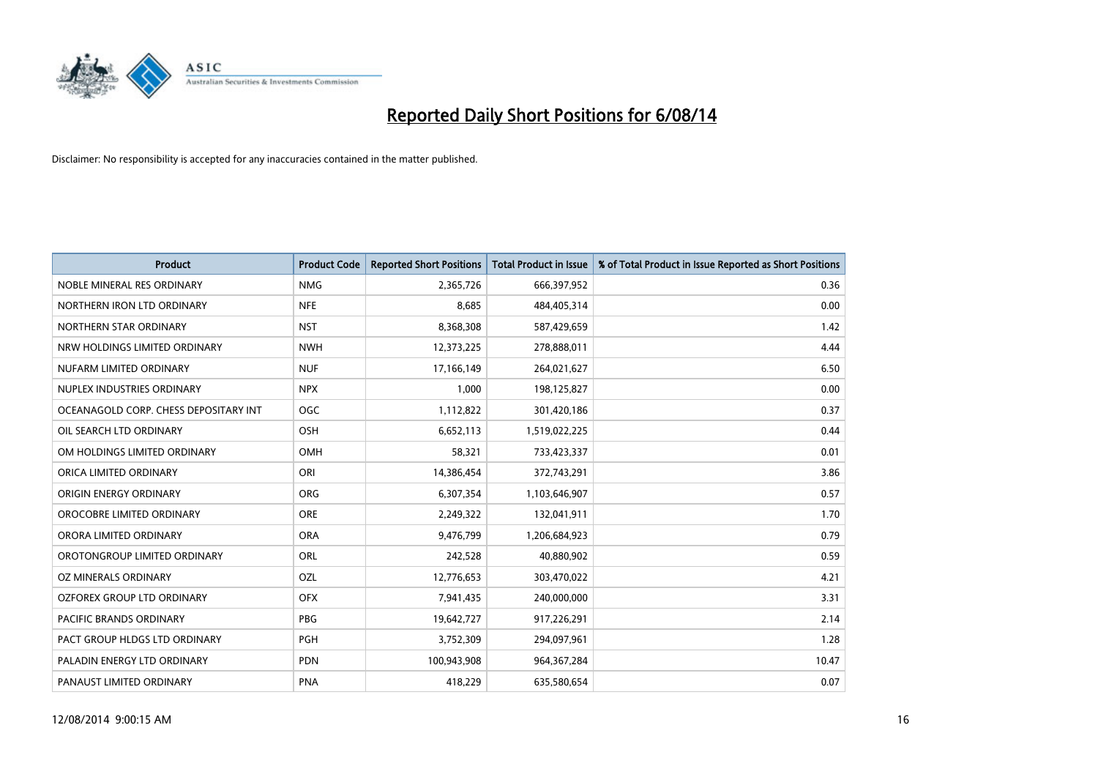

| <b>Product</b>                        | <b>Product Code</b> | <b>Reported Short Positions</b> | <b>Total Product in Issue</b> | % of Total Product in Issue Reported as Short Positions |
|---------------------------------------|---------------------|---------------------------------|-------------------------------|---------------------------------------------------------|
| NOBLE MINERAL RES ORDINARY            | <b>NMG</b>          | 2,365,726                       | 666,397,952                   | 0.36                                                    |
| NORTHERN IRON LTD ORDINARY            | <b>NFE</b>          | 8,685                           | 484,405,314                   | 0.00                                                    |
| NORTHERN STAR ORDINARY                | <b>NST</b>          | 8,368,308                       | 587,429,659                   | 1.42                                                    |
| NRW HOLDINGS LIMITED ORDINARY         | <b>NWH</b>          | 12,373,225                      | 278,888,011                   | 4.44                                                    |
| NUFARM LIMITED ORDINARY               | <b>NUF</b>          | 17,166,149                      | 264,021,627                   | 6.50                                                    |
| NUPLEX INDUSTRIES ORDINARY            | <b>NPX</b>          | 1,000                           | 198,125,827                   | 0.00                                                    |
| OCEANAGOLD CORP. CHESS DEPOSITARY INT | <b>OGC</b>          | 1,112,822                       | 301,420,186                   | 0.37                                                    |
| OIL SEARCH LTD ORDINARY               | OSH                 | 6,652,113                       | 1,519,022,225                 | 0.44                                                    |
| OM HOLDINGS LIMITED ORDINARY          | OMH                 | 58,321                          | 733,423,337                   | 0.01                                                    |
| ORICA LIMITED ORDINARY                | ORI                 | 14,386,454                      | 372,743,291                   | 3.86                                                    |
| ORIGIN ENERGY ORDINARY                | <b>ORG</b>          | 6,307,354                       | 1,103,646,907                 | 0.57                                                    |
| OROCOBRE LIMITED ORDINARY             | <b>ORE</b>          | 2,249,322                       | 132,041,911                   | 1.70                                                    |
| ORORA LIMITED ORDINARY                | <b>ORA</b>          | 9,476,799                       | 1,206,684,923                 | 0.79                                                    |
| OROTONGROUP LIMITED ORDINARY          | ORL                 | 242,528                         | 40,880,902                    | 0.59                                                    |
| <b>OZ MINERALS ORDINARY</b>           | <b>OZL</b>          | 12,776,653                      | 303,470,022                   | 4.21                                                    |
| OZFOREX GROUP LTD ORDINARY            | <b>OFX</b>          | 7,941,435                       | 240,000,000                   | 3.31                                                    |
| PACIFIC BRANDS ORDINARY               | PBG                 | 19,642,727                      | 917,226,291                   | 2.14                                                    |
| PACT GROUP HLDGS LTD ORDINARY         | <b>PGH</b>          | 3,752,309                       | 294,097,961                   | 1.28                                                    |
| PALADIN ENERGY LTD ORDINARY           | <b>PDN</b>          | 100,943,908                     | 964, 367, 284                 | 10.47                                                   |
| PANAUST LIMITED ORDINARY              | <b>PNA</b>          | 418,229                         | 635,580,654                   | 0.07                                                    |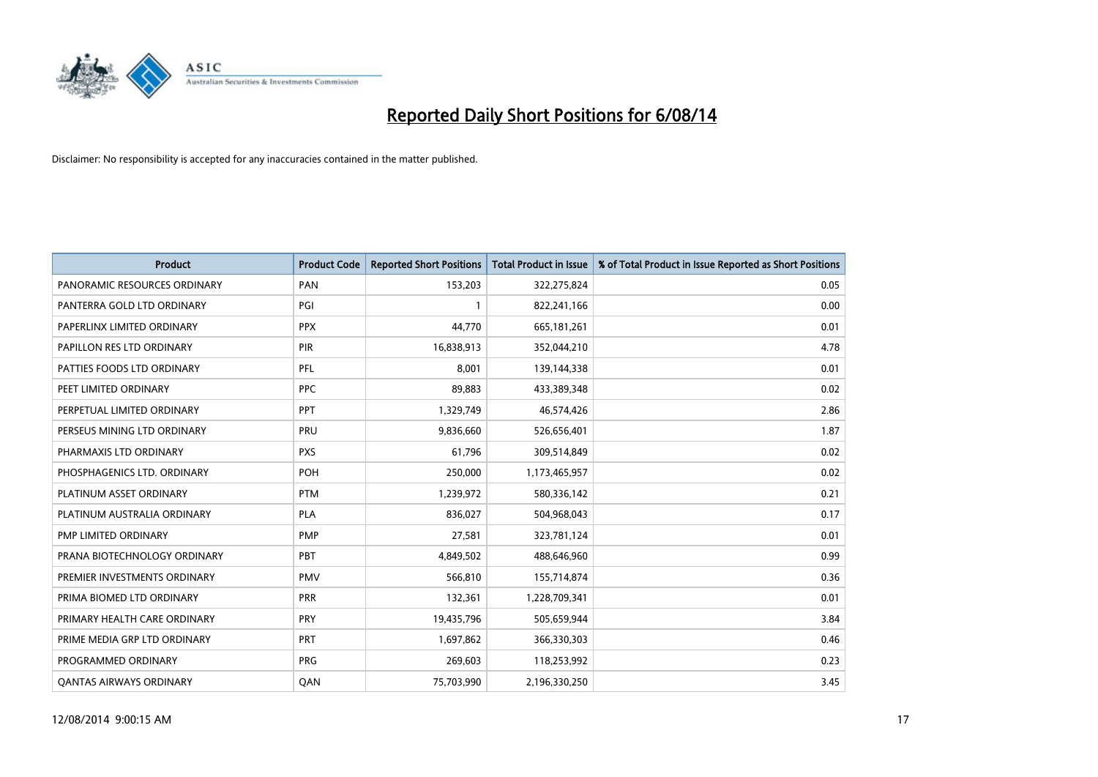

| <b>Product</b>                 | <b>Product Code</b> | <b>Reported Short Positions</b> | <b>Total Product in Issue</b> | % of Total Product in Issue Reported as Short Positions |
|--------------------------------|---------------------|---------------------------------|-------------------------------|---------------------------------------------------------|
| PANORAMIC RESOURCES ORDINARY   | PAN                 | 153,203                         | 322,275,824                   | 0.05                                                    |
| PANTERRA GOLD LTD ORDINARY     | PGI                 |                                 | 822,241,166                   | 0.00                                                    |
| PAPERLINX LIMITED ORDINARY     | <b>PPX</b>          | 44,770                          | 665,181,261                   | 0.01                                                    |
| PAPILLON RES LTD ORDINARY      | <b>PIR</b>          | 16,838,913                      | 352,044,210                   | 4.78                                                    |
| PATTIES FOODS LTD ORDINARY     | PFL                 | 8,001                           | 139,144,338                   | 0.01                                                    |
| PEET LIMITED ORDINARY          | <b>PPC</b>          | 89,883                          | 433,389,348                   | 0.02                                                    |
| PERPETUAL LIMITED ORDINARY     | <b>PPT</b>          | 1,329,749                       | 46,574,426                    | 2.86                                                    |
| PERSEUS MINING LTD ORDINARY    | PRU                 | 9,836,660                       | 526,656,401                   | 1.87                                                    |
| PHARMAXIS LTD ORDINARY         | <b>PXS</b>          | 61,796                          | 309,514,849                   | 0.02                                                    |
| PHOSPHAGENICS LTD. ORDINARY    | <b>POH</b>          | 250,000                         | 1,173,465,957                 | 0.02                                                    |
| PLATINUM ASSET ORDINARY        | <b>PTM</b>          | 1,239,972                       | 580,336,142                   | 0.21                                                    |
| PLATINUM AUSTRALIA ORDINARY    | <b>PLA</b>          | 836,027                         | 504,968,043                   | 0.17                                                    |
| PMP LIMITED ORDINARY           | <b>PMP</b>          | 27,581                          | 323,781,124                   | 0.01                                                    |
| PRANA BIOTECHNOLOGY ORDINARY   | <b>PBT</b>          | 4,849,502                       | 488,646,960                   | 0.99                                                    |
| PREMIER INVESTMENTS ORDINARY   | <b>PMV</b>          | 566,810                         | 155,714,874                   | 0.36                                                    |
| PRIMA BIOMED LTD ORDINARY      | <b>PRR</b>          | 132,361                         | 1,228,709,341                 | 0.01                                                    |
| PRIMARY HEALTH CARE ORDINARY   | <b>PRY</b>          | 19,435,796                      | 505,659,944                   | 3.84                                                    |
| PRIME MEDIA GRP LTD ORDINARY   | PRT                 | 1,697,862                       | 366,330,303                   | 0.46                                                    |
| PROGRAMMED ORDINARY            | <b>PRG</b>          | 269,603                         | 118,253,992                   | 0.23                                                    |
| <b>QANTAS AIRWAYS ORDINARY</b> | QAN                 | 75,703,990                      | 2,196,330,250                 | 3.45                                                    |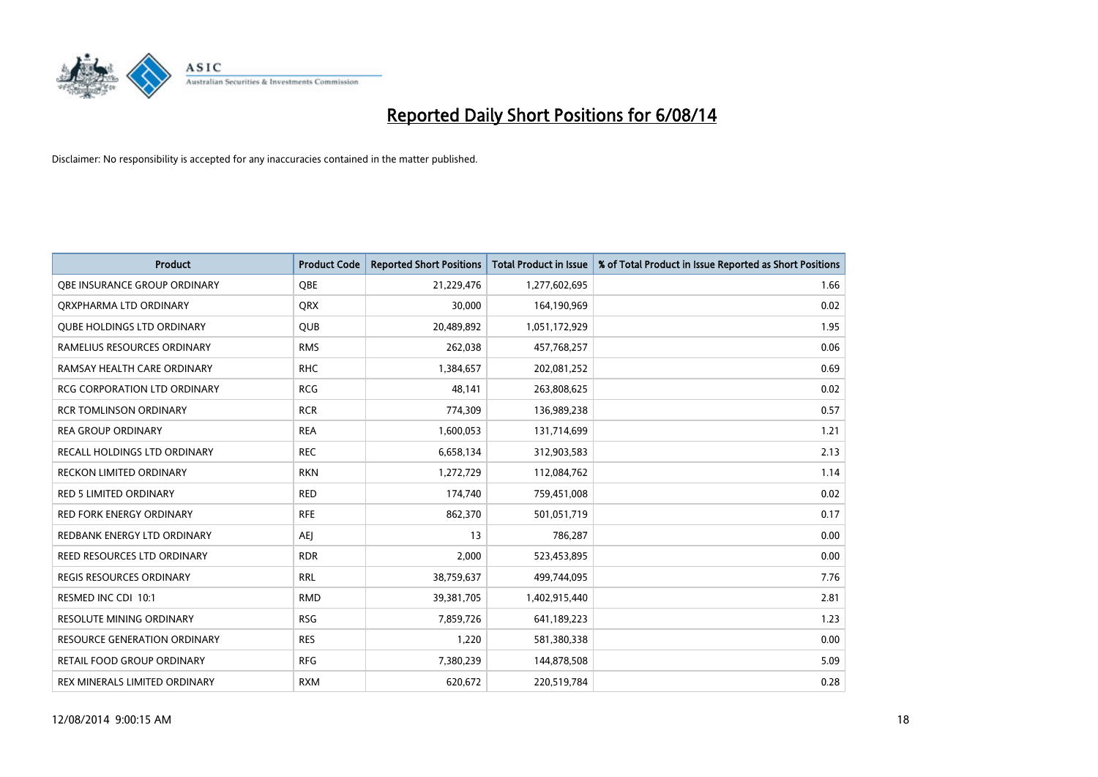

| <b>Product</b>                      | <b>Product Code</b> | <b>Reported Short Positions</b> | <b>Total Product in Issue</b> | % of Total Product in Issue Reported as Short Positions |
|-------------------------------------|---------------------|---------------------------------|-------------------------------|---------------------------------------------------------|
| OBE INSURANCE GROUP ORDINARY        | <b>OBE</b>          | 21,229,476                      | 1,277,602,695                 | 1.66                                                    |
| ORXPHARMA LTD ORDINARY              | <b>QRX</b>          | 30,000                          | 164,190,969                   | 0.02                                                    |
| <b>QUBE HOLDINGS LTD ORDINARY</b>   | <b>QUB</b>          | 20,489,892                      | 1,051,172,929                 | 1.95                                                    |
| RAMELIUS RESOURCES ORDINARY         | <b>RMS</b>          | 262,038                         | 457,768,257                   | 0.06                                                    |
| RAMSAY HEALTH CARE ORDINARY         | <b>RHC</b>          | 1,384,657                       | 202,081,252                   | 0.69                                                    |
| <b>RCG CORPORATION LTD ORDINARY</b> | <b>RCG</b>          | 48,141                          | 263,808,625                   | 0.02                                                    |
| <b>RCR TOMLINSON ORDINARY</b>       | <b>RCR</b>          | 774,309                         | 136,989,238                   | 0.57                                                    |
| <b>REA GROUP ORDINARY</b>           | <b>REA</b>          | 1,600,053                       | 131,714,699                   | 1.21                                                    |
| RECALL HOLDINGS LTD ORDINARY        | <b>REC</b>          | 6,658,134                       | 312,903,583                   | 2.13                                                    |
| <b>RECKON LIMITED ORDINARY</b>      | <b>RKN</b>          | 1,272,729                       | 112,084,762                   | 1.14                                                    |
| RED 5 LIMITED ORDINARY              | <b>RED</b>          | 174,740                         | 759,451,008                   | 0.02                                                    |
| <b>RED FORK ENERGY ORDINARY</b>     | <b>RFE</b>          | 862,370                         | 501,051,719                   | 0.17                                                    |
| REDBANK ENERGY LTD ORDINARY         | <b>AEI</b>          | 13                              | 786,287                       | 0.00                                                    |
| REED RESOURCES LTD ORDINARY         | <b>RDR</b>          | 2,000                           | 523,453,895                   | 0.00                                                    |
| <b>REGIS RESOURCES ORDINARY</b>     | <b>RRL</b>          | 38,759,637                      | 499,744,095                   | 7.76                                                    |
| RESMED INC CDI 10:1                 | <b>RMD</b>          | 39,381,705                      | 1,402,915,440                 | 2.81                                                    |
| RESOLUTE MINING ORDINARY            | <b>RSG</b>          | 7,859,726                       | 641,189,223                   | 1.23                                                    |
| RESOURCE GENERATION ORDINARY        | <b>RES</b>          | 1,220                           | 581,380,338                   | 0.00                                                    |
| <b>RETAIL FOOD GROUP ORDINARY</b>   | <b>RFG</b>          | 7,380,239                       | 144,878,508                   | 5.09                                                    |
| REX MINERALS LIMITED ORDINARY       | <b>RXM</b>          | 620,672                         | 220,519,784                   | 0.28                                                    |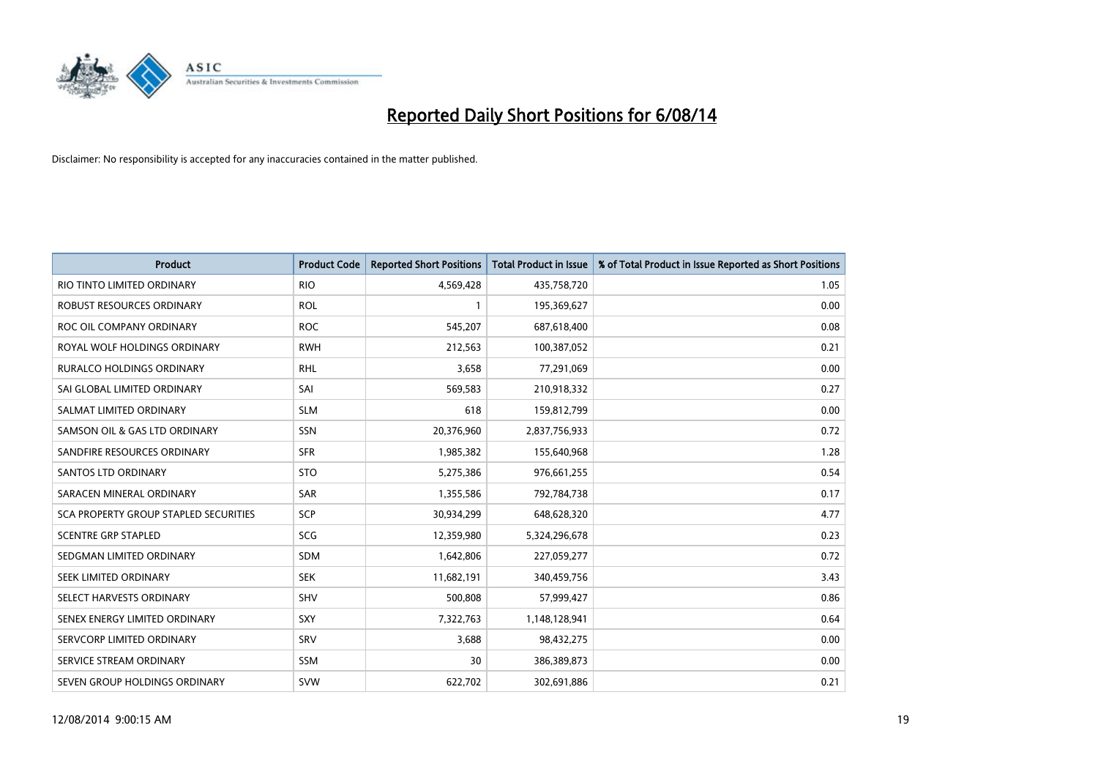

| <b>Product</b>                        | <b>Product Code</b> | <b>Reported Short Positions</b> | <b>Total Product in Issue</b> | % of Total Product in Issue Reported as Short Positions |
|---------------------------------------|---------------------|---------------------------------|-------------------------------|---------------------------------------------------------|
| RIO TINTO LIMITED ORDINARY            | <b>RIO</b>          | 4,569,428                       | 435,758,720                   | 1.05                                                    |
| ROBUST RESOURCES ORDINARY             | <b>ROL</b>          |                                 | 195,369,627                   | 0.00                                                    |
| ROC OIL COMPANY ORDINARY              | <b>ROC</b>          | 545,207                         | 687,618,400                   | 0.08                                                    |
| ROYAL WOLF HOLDINGS ORDINARY          | <b>RWH</b>          | 212,563                         | 100,387,052                   | 0.21                                                    |
| <b>RURALCO HOLDINGS ORDINARY</b>      | <b>RHL</b>          | 3,658                           | 77,291,069                    | 0.00                                                    |
| SAI GLOBAL LIMITED ORDINARY           | SAI                 | 569,583                         | 210,918,332                   | 0.27                                                    |
| SALMAT LIMITED ORDINARY               | <b>SLM</b>          | 618                             | 159,812,799                   | 0.00                                                    |
| SAMSON OIL & GAS LTD ORDINARY         | SSN                 | 20,376,960                      | 2,837,756,933                 | 0.72                                                    |
| SANDFIRE RESOURCES ORDINARY           | <b>SFR</b>          | 1,985,382                       | 155,640,968                   | 1.28                                                    |
| <b>SANTOS LTD ORDINARY</b>            | <b>STO</b>          | 5,275,386                       | 976,661,255                   | 0.54                                                    |
| SARACEN MINERAL ORDINARY              | SAR                 | 1,355,586                       | 792,784,738                   | 0.17                                                    |
| SCA PROPERTY GROUP STAPLED SECURITIES | <b>SCP</b>          | 30,934,299                      | 648,628,320                   | 4.77                                                    |
| <b>SCENTRE GRP STAPLED</b>            | SCG                 | 12,359,980                      | 5,324,296,678                 | 0.23                                                    |
| SEDGMAN LIMITED ORDINARY              | SDM                 | 1,642,806                       | 227,059,277                   | 0.72                                                    |
| SEEK LIMITED ORDINARY                 | <b>SEK</b>          | 11,682,191                      | 340,459,756                   | 3.43                                                    |
| SELECT HARVESTS ORDINARY              | SHV                 | 500,808                         | 57,999,427                    | 0.86                                                    |
| SENEX ENERGY LIMITED ORDINARY         | SXY                 | 7,322,763                       | 1,148,128,941                 | 0.64                                                    |
| SERVCORP LIMITED ORDINARY             | <b>SRV</b>          | 3,688                           | 98,432,275                    | 0.00                                                    |
| SERVICE STREAM ORDINARY               | <b>SSM</b>          | 30                              | 386,389,873                   | 0.00                                                    |
| SEVEN GROUP HOLDINGS ORDINARY         | <b>SVW</b>          | 622,702                         | 302,691,886                   | 0.21                                                    |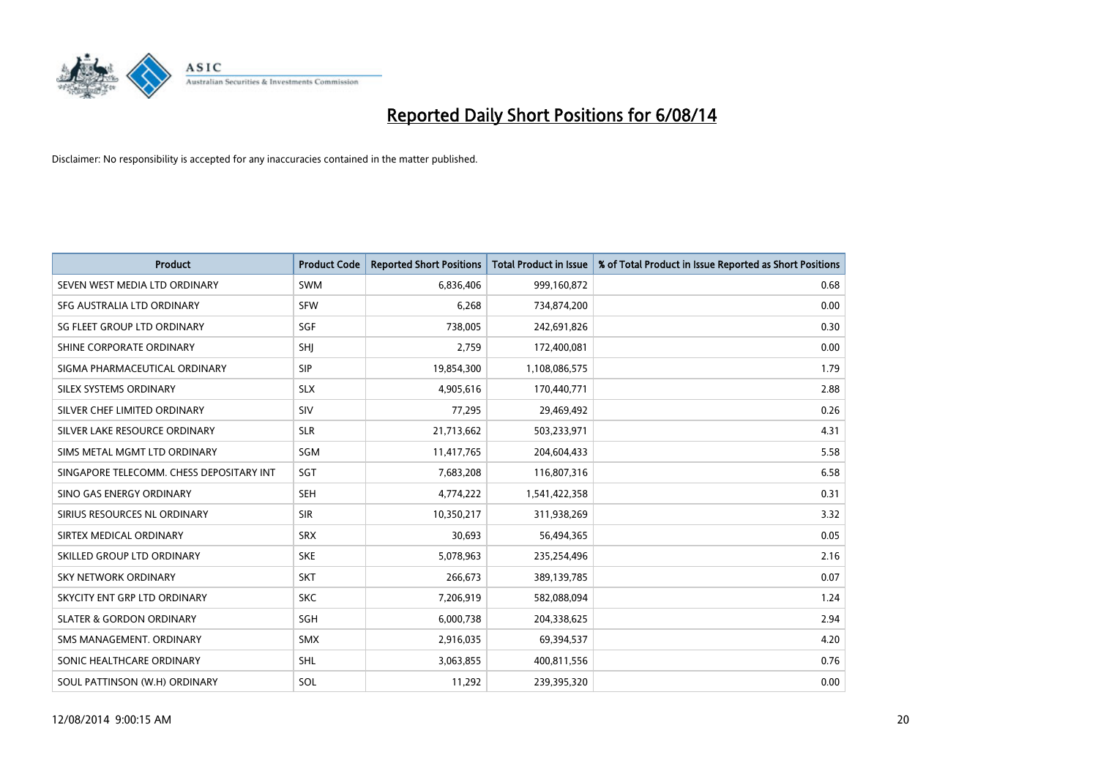

| <b>Product</b>                           | <b>Product Code</b> | <b>Reported Short Positions</b> | <b>Total Product in Issue</b> | % of Total Product in Issue Reported as Short Positions |
|------------------------------------------|---------------------|---------------------------------|-------------------------------|---------------------------------------------------------|
| SEVEN WEST MEDIA LTD ORDINARY            | <b>SWM</b>          | 6,836,406                       | 999,160,872                   | 0.68                                                    |
| SFG AUSTRALIA LTD ORDINARY               | <b>SFW</b>          | 6,268                           | 734,874,200                   | 0.00                                                    |
| SG FLEET GROUP LTD ORDINARY              | SGF                 | 738,005                         | 242,691,826                   | 0.30                                                    |
| SHINE CORPORATE ORDINARY                 | SHJ                 | 2,759                           | 172,400,081                   | 0.00                                                    |
| SIGMA PHARMACEUTICAL ORDINARY            | <b>SIP</b>          | 19,854,300                      | 1,108,086,575                 | 1.79                                                    |
| SILEX SYSTEMS ORDINARY                   | <b>SLX</b>          | 4,905,616                       | 170,440,771                   | 2.88                                                    |
| SILVER CHEF LIMITED ORDINARY             | <b>SIV</b>          | 77,295                          | 29,469,492                    | 0.26                                                    |
| SILVER LAKE RESOURCE ORDINARY            | <b>SLR</b>          | 21,713,662                      | 503,233,971                   | 4.31                                                    |
| SIMS METAL MGMT LTD ORDINARY             | SGM                 | 11,417,765                      | 204,604,433                   | 5.58                                                    |
| SINGAPORE TELECOMM. CHESS DEPOSITARY INT | SGT                 | 7,683,208                       | 116,807,316                   | 6.58                                                    |
| SINO GAS ENERGY ORDINARY                 | <b>SEH</b>          | 4,774,222                       | 1,541,422,358                 | 0.31                                                    |
| SIRIUS RESOURCES NL ORDINARY             | <b>SIR</b>          | 10,350,217                      | 311,938,269                   | 3.32                                                    |
| SIRTEX MEDICAL ORDINARY                  | <b>SRX</b>          | 30,693                          | 56,494,365                    | 0.05                                                    |
| SKILLED GROUP LTD ORDINARY               | <b>SKE</b>          | 5,078,963                       | 235,254,496                   | 2.16                                                    |
| <b>SKY NETWORK ORDINARY</b>              | <b>SKT</b>          | 266,673                         | 389,139,785                   | 0.07                                                    |
| SKYCITY ENT GRP LTD ORDINARY             | <b>SKC</b>          | 7,206,919                       | 582,088,094                   | 1.24                                                    |
| <b>SLATER &amp; GORDON ORDINARY</b>      | SGH                 | 6,000,738                       | 204,338,625                   | 2.94                                                    |
| SMS MANAGEMENT, ORDINARY                 | <b>SMX</b>          | 2,916,035                       | 69,394,537                    | 4.20                                                    |
| SONIC HEALTHCARE ORDINARY                | SHL                 | 3,063,855                       | 400,811,556                   | 0.76                                                    |
| SOUL PATTINSON (W.H) ORDINARY            | SOL                 | 11,292                          | 239,395,320                   | 0.00                                                    |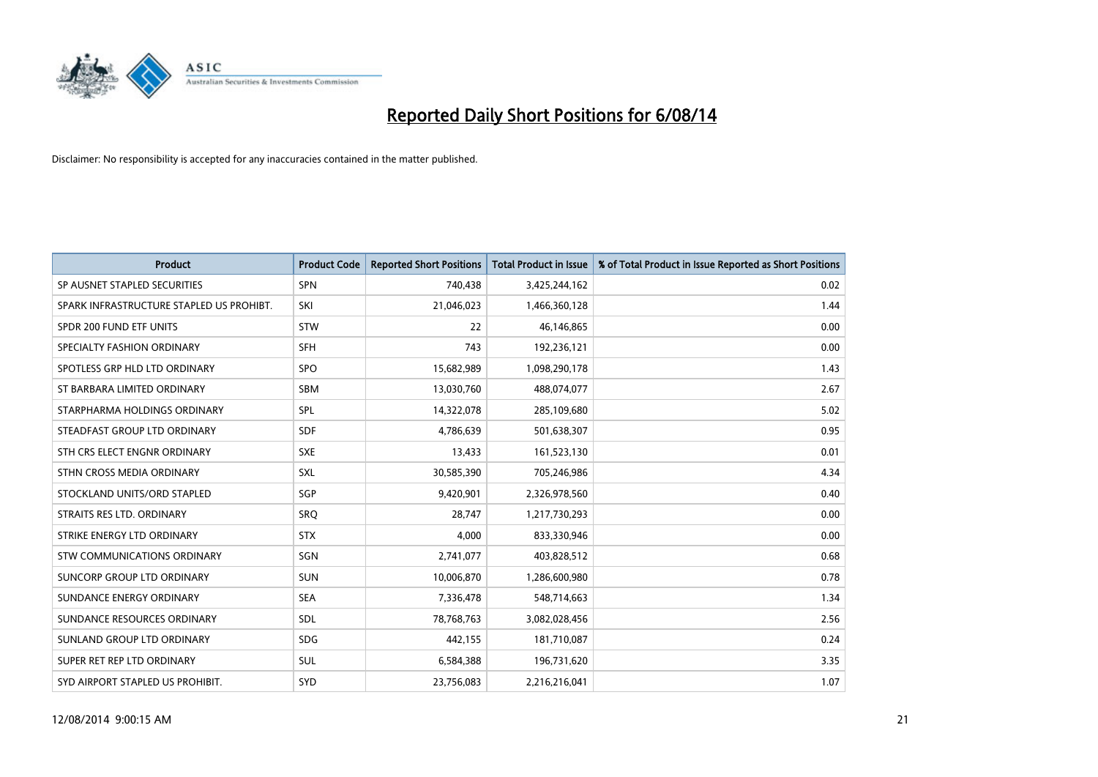

| <b>Product</b>                           | <b>Product Code</b> | <b>Reported Short Positions</b> | <b>Total Product in Issue</b> | % of Total Product in Issue Reported as Short Positions |
|------------------------------------------|---------------------|---------------------------------|-------------------------------|---------------------------------------------------------|
| SP AUSNET STAPLED SECURITIES             | <b>SPN</b>          | 740,438                         | 3,425,244,162                 | 0.02                                                    |
| SPARK INFRASTRUCTURE STAPLED US PROHIBT. | SKI                 | 21,046,023                      | 1,466,360,128                 | 1.44                                                    |
| SPDR 200 FUND ETF UNITS                  | <b>STW</b>          | 22                              | 46,146,865                    | 0.00                                                    |
| SPECIALTY FASHION ORDINARY               | <b>SFH</b>          | 743                             | 192,236,121                   | 0.00                                                    |
| SPOTLESS GRP HLD LTD ORDINARY            | <b>SPO</b>          | 15,682,989                      | 1,098,290,178                 | 1.43                                                    |
| ST BARBARA LIMITED ORDINARY              | SBM                 | 13,030,760                      | 488,074,077                   | 2.67                                                    |
| STARPHARMA HOLDINGS ORDINARY             | SPL                 | 14,322,078                      | 285,109,680                   | 5.02                                                    |
| STEADFAST GROUP LTD ORDINARY             | <b>SDF</b>          | 4,786,639                       | 501,638,307                   | 0.95                                                    |
| STH CRS ELECT ENGNR ORDINARY             | <b>SXE</b>          | 13,433                          | 161,523,130                   | 0.01                                                    |
| STHN CROSS MEDIA ORDINARY                | <b>SXL</b>          | 30,585,390                      | 705,246,986                   | 4.34                                                    |
| STOCKLAND UNITS/ORD STAPLED              | SGP                 | 9,420,901                       | 2,326,978,560                 | 0.40                                                    |
| STRAITS RES LTD. ORDINARY                | SRQ                 | 28,747                          | 1,217,730,293                 | 0.00                                                    |
| STRIKE ENERGY LTD ORDINARY               | <b>STX</b>          | 4.000                           | 833,330,946                   | 0.00                                                    |
| <b>STW COMMUNICATIONS ORDINARY</b>       | SGN                 | 2,741,077                       | 403,828,512                   | 0.68                                                    |
| SUNCORP GROUP LTD ORDINARY               | <b>SUN</b>          | 10,006,870                      | 1,286,600,980                 | 0.78                                                    |
| SUNDANCE ENERGY ORDINARY                 | <b>SEA</b>          | 7,336,478                       | 548,714,663                   | 1.34                                                    |
| SUNDANCE RESOURCES ORDINARY              | <b>SDL</b>          | 78,768,763                      | 3,082,028,456                 | 2.56                                                    |
| SUNLAND GROUP LTD ORDINARY               | <b>SDG</b>          | 442,155                         | 181,710,087                   | 0.24                                                    |
| SUPER RET REP LTD ORDINARY               | SUL                 | 6,584,388                       | 196,731,620                   | 3.35                                                    |
| SYD AIRPORT STAPLED US PROHIBIT.         | SYD                 | 23.756.083                      | 2,216,216,041                 | 1.07                                                    |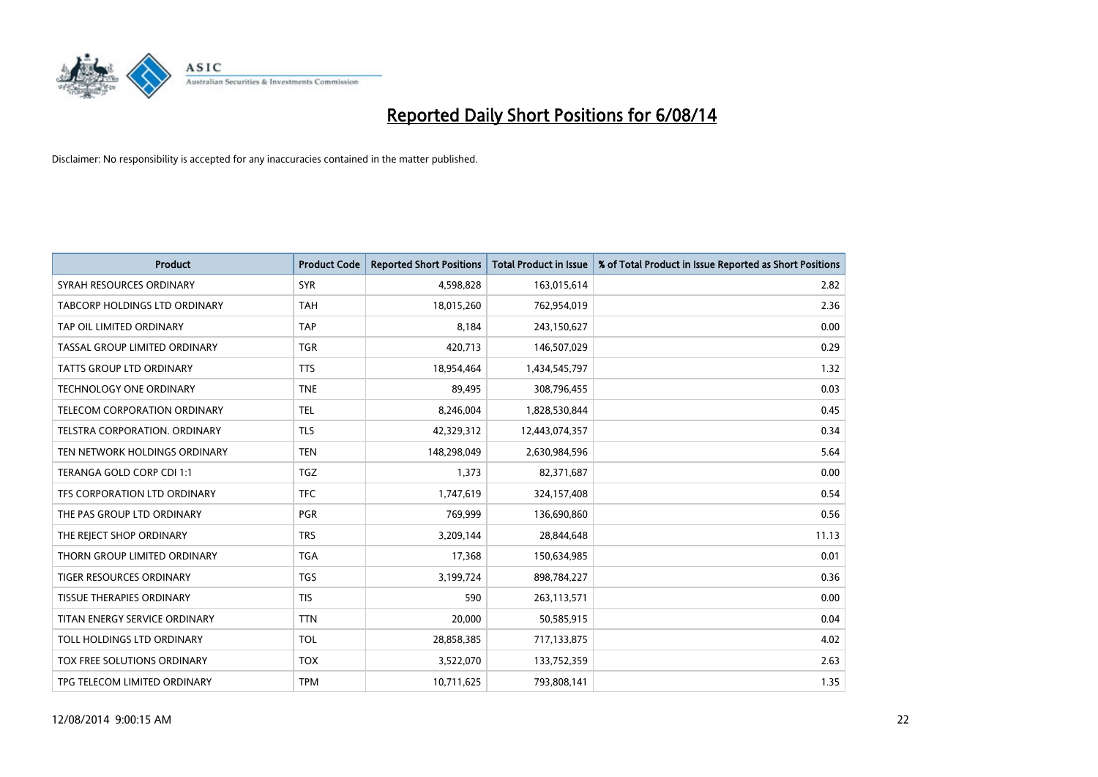

| <b>Product</b>                  | <b>Product Code</b> | <b>Reported Short Positions</b> | <b>Total Product in Issue</b> | % of Total Product in Issue Reported as Short Positions |
|---------------------------------|---------------------|---------------------------------|-------------------------------|---------------------------------------------------------|
| SYRAH RESOURCES ORDINARY        | <b>SYR</b>          | 4,598,828                       | 163,015,614                   | 2.82                                                    |
| TABCORP HOLDINGS LTD ORDINARY   | <b>TAH</b>          | 18,015,260                      | 762,954,019                   | 2.36                                                    |
| TAP OIL LIMITED ORDINARY        | <b>TAP</b>          | 8,184                           | 243,150,627                   | 0.00                                                    |
| TASSAL GROUP LIMITED ORDINARY   | <b>TGR</b>          | 420,713                         | 146,507,029                   | 0.29                                                    |
| <b>TATTS GROUP LTD ORDINARY</b> | <b>TTS</b>          | 18,954,464                      | 1,434,545,797                 | 1.32                                                    |
| <b>TECHNOLOGY ONE ORDINARY</b>  | <b>TNE</b>          | 89,495                          | 308,796,455                   | 0.03                                                    |
| TELECOM CORPORATION ORDINARY    | <b>TEL</b>          | 8,246,004                       | 1,828,530,844                 | 0.45                                                    |
| TELSTRA CORPORATION. ORDINARY   | <b>TLS</b>          | 42,329,312                      | 12,443,074,357                | 0.34                                                    |
| TEN NETWORK HOLDINGS ORDINARY   | <b>TEN</b>          | 148,298,049                     | 2,630,984,596                 | 5.64                                                    |
| TERANGA GOLD CORP CDI 1:1       | <b>TGZ</b>          | 1,373                           | 82,371,687                    | 0.00                                                    |
| TFS CORPORATION LTD ORDINARY    | <b>TFC</b>          | 1,747,619                       | 324,157,408                   | 0.54                                                    |
| THE PAS GROUP LTD ORDINARY      | <b>PGR</b>          | 769,999                         | 136,690,860                   | 0.56                                                    |
| THE REJECT SHOP ORDINARY        | <b>TRS</b>          | 3,209,144                       | 28,844,648                    | 11.13                                                   |
| THORN GROUP LIMITED ORDINARY    | <b>TGA</b>          | 17,368                          | 150,634,985                   | 0.01                                                    |
| TIGER RESOURCES ORDINARY        | <b>TGS</b>          | 3,199,724                       | 898,784,227                   | 0.36                                                    |
| TISSUE THERAPIES ORDINARY       | <b>TIS</b>          | 590                             | 263,113,571                   | 0.00                                                    |
| TITAN ENERGY SERVICE ORDINARY   | <b>TTN</b>          | 20,000                          | 50,585,915                    | 0.04                                                    |
| TOLL HOLDINGS LTD ORDINARY      | <b>TOL</b>          | 28,858,385                      | 717,133,875                   | 4.02                                                    |
| TOX FREE SOLUTIONS ORDINARY     | <b>TOX</b>          | 3,522,070                       | 133,752,359                   | 2.63                                                    |
| TPG TELECOM LIMITED ORDINARY    | <b>TPM</b>          | 10,711,625                      | 793,808,141                   | 1.35                                                    |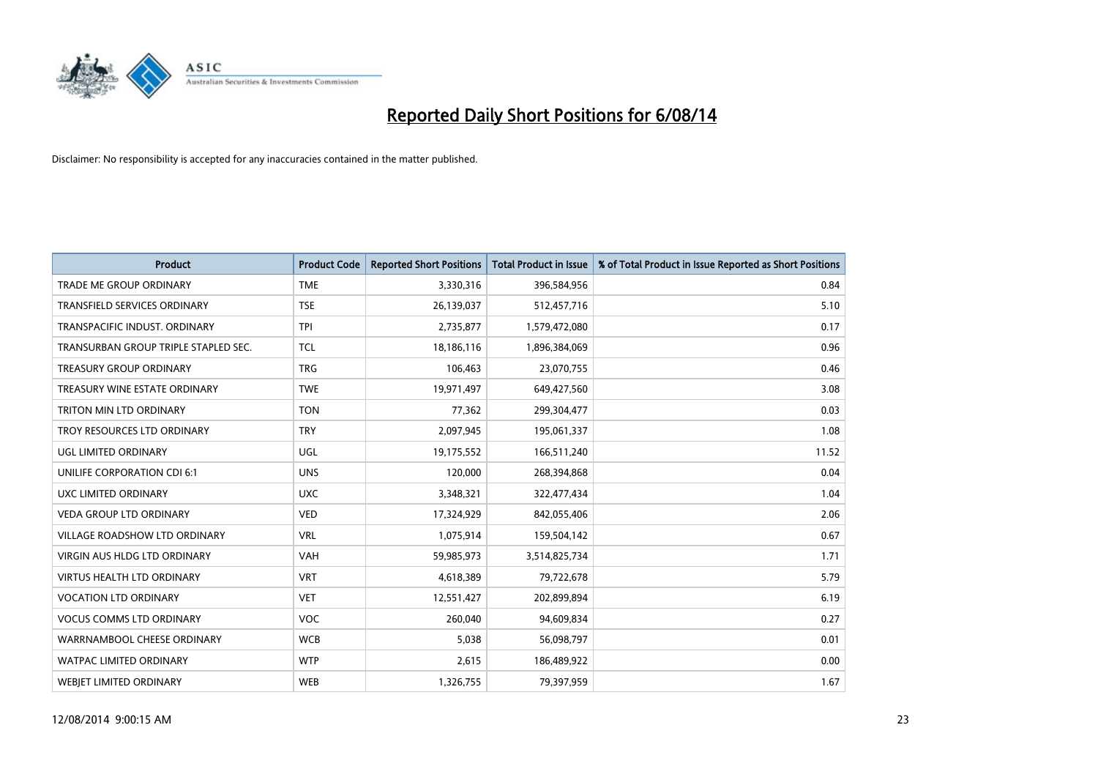

| <b>Product</b>                       | <b>Product Code</b> | <b>Reported Short Positions</b> | <b>Total Product in Issue</b> | % of Total Product in Issue Reported as Short Positions |
|--------------------------------------|---------------------|---------------------------------|-------------------------------|---------------------------------------------------------|
| <b>TRADE ME GROUP ORDINARY</b>       | <b>TME</b>          | 3,330,316                       | 396,584,956                   | 0.84                                                    |
| TRANSFIELD SERVICES ORDINARY         | <b>TSE</b>          | 26,139,037                      | 512,457,716                   | 5.10                                                    |
| TRANSPACIFIC INDUST. ORDINARY        | <b>TPI</b>          | 2,735,877                       | 1,579,472,080                 | 0.17                                                    |
| TRANSURBAN GROUP TRIPLE STAPLED SEC. | <b>TCL</b>          | 18,186,116                      | 1,896,384,069                 | 0.96                                                    |
| <b>TREASURY GROUP ORDINARY</b>       | <b>TRG</b>          | 106,463                         | 23,070,755                    | 0.46                                                    |
| TREASURY WINE ESTATE ORDINARY        | <b>TWE</b>          | 19,971,497                      | 649,427,560                   | 3.08                                                    |
| TRITON MIN LTD ORDINARY              | <b>TON</b>          | 77,362                          | 299,304,477                   | 0.03                                                    |
| TROY RESOURCES LTD ORDINARY          | <b>TRY</b>          | 2,097,945                       | 195,061,337                   | 1.08                                                    |
| UGL LIMITED ORDINARY                 | UGL                 | 19,175,552                      | 166,511,240                   | 11.52                                                   |
| UNILIFE CORPORATION CDI 6:1          | <b>UNS</b>          | 120,000                         | 268,394,868                   | 0.04                                                    |
| UXC LIMITED ORDINARY                 | <b>UXC</b>          | 3,348,321                       | 322,477,434                   | 1.04                                                    |
| <b>VEDA GROUP LTD ORDINARY</b>       | <b>VED</b>          | 17,324,929                      | 842,055,406                   | 2.06                                                    |
| <b>VILLAGE ROADSHOW LTD ORDINARY</b> | <b>VRL</b>          | 1,075,914                       | 159,504,142                   | 0.67                                                    |
| <b>VIRGIN AUS HLDG LTD ORDINARY</b>  | <b>VAH</b>          | 59,985,973                      | 3,514,825,734                 | 1.71                                                    |
| <b>VIRTUS HEALTH LTD ORDINARY</b>    | <b>VRT</b>          | 4,618,389                       | 79,722,678                    | 5.79                                                    |
| <b>VOCATION LTD ORDINARY</b>         | <b>VET</b>          | 12,551,427                      | 202,899,894                   | 6.19                                                    |
| <b>VOCUS COMMS LTD ORDINARY</b>      | VOC                 | 260,040                         | 94,609,834                    | 0.27                                                    |
| WARRNAMBOOL CHEESE ORDINARY          | <b>WCB</b>          | 5,038                           | 56,098,797                    | 0.01                                                    |
| <b>WATPAC LIMITED ORDINARY</b>       | <b>WTP</b>          | 2,615                           | 186,489,922                   | 0.00                                                    |
| <b>WEBJET LIMITED ORDINARY</b>       | <b>WEB</b>          | 1,326,755                       | 79,397,959                    | 1.67                                                    |